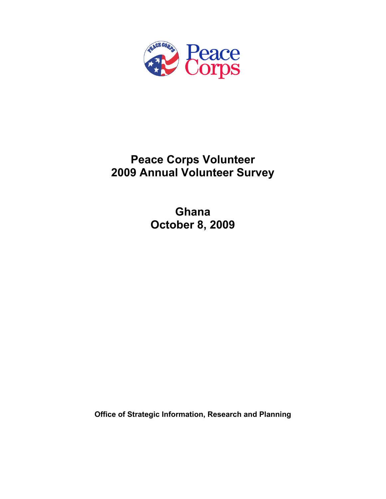

# **Peace Corps Volunteer 2009 Annual Volunteer Survey**

**Ghana October 8, 2009** 

**Office of Strategic Information, Research and Planning**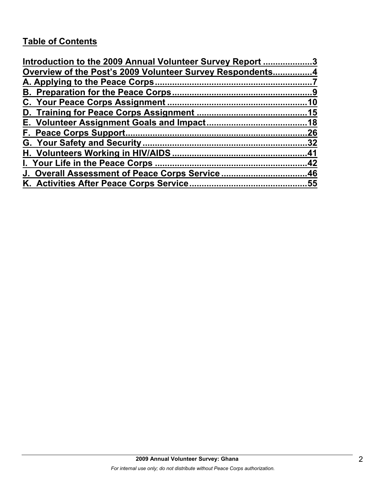# **Table of Contents**

| Introduction to the 2009 Annual Volunteer Survey Report 3 |    |
|-----------------------------------------------------------|----|
| Overview of the Post's 2009 Volunteer Survey Respondents4 |    |
|                                                           |    |
|                                                           |    |
|                                                           |    |
|                                                           |    |
|                                                           |    |
|                                                           | 26 |
|                                                           |    |
|                                                           |    |
|                                                           |    |
| J. Overall Assessment of Peace Corps Service46            |    |
|                                                           |    |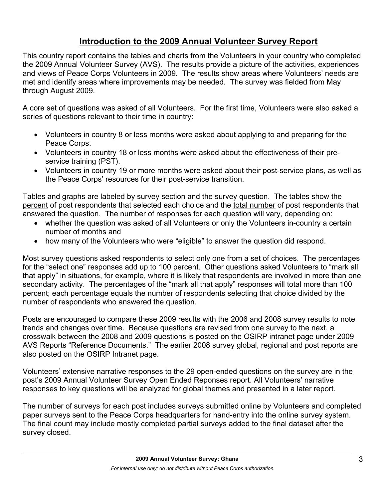# **Introduction to the 2009 Annual Volunteer Survey Report**

This country report contains the tables and charts from the Volunteers in your country who completed the 2009 Annual Volunteer Survey (AVS). The results provide a picture of the activities, experiences and views of Peace Corps Volunteers in 2009. The results show areas where Volunteers' needs are met and identify areas where improvements may be needed. The survey was fielded from May through August 2009.

A core set of questions was asked of all Volunteers. For the first time, Volunteers were also asked a series of questions relevant to their time in country:

- Volunteers in country 8 or less months were asked about applying to and preparing for the Peace Corps.
- Volunteers in country 18 or less months were asked about the effectiveness of their preservice training (PST).
- Volunteers in country 19 or more months were asked about their post-service plans, as well as the Peace Corps' resources for their post-service transition.

Tables and graphs are labeled by survey section and the survey question. The tables show the percent of post respondents that selected each choice and the total number of post respondents that answered the question. The number of responses for each question will vary, depending on:

- whether the question was asked of all Volunteers or only the Volunteers in-country a certain number of months and
- how many of the Volunteers who were "eligible" to answer the question did respond.

Most survey questions asked respondents to select only one from a set of choices. The percentages for the "select one" responses add up to 100 percent. Other questions asked Volunteers to "mark all that apply" in situations, for example, where it is likely that respondents are involved in more than one secondary activity. The percentages of the "mark all that apply" responses will total more than 100 percent; each percentage equals the number of respondents selecting that choice divided by the number of respondents who answered the question.

Posts are encouraged to compare these 2009 results with the 2006 and 2008 survey results to note trends and changes over time. Because questions are revised from one survey to the next, a crosswalk between the 2008 and 2009 questions is posted on the OSIRP intranet page under 2009 AVS Reports "Reference Documents." The earlier 2008 survey global, regional and post reports are also posted on the OSIRP Intranet page.

Volunteers' extensive narrative responses to the 29 open-ended questions on the survey are in the post's 2009 Annual Volunteer Survey Open Ended Reponses report. All Volunteers' narrative responses to key questions will be analyzed for global themes and presented in a later report.

The number of surveys for each post includes surveys submitted online by Volunteers and completed paper surveys sent to the Peace Corps headquarters for hand-entry into the online survey system. The final count may include mostly completed partial surveys added to the final dataset after the survey closed.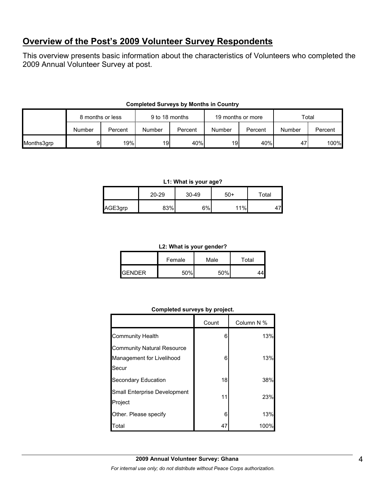# **Overview of the Post's 2009 Volunteer Survey Respondents**

This overview presents basic information about the characteristics of Volunteers who completed the 2009 Annual Volunteer Survey at post.

|            |        | 9 to 18 months<br>8 months or less |        | 19 months or more |        |         | Total  |         |
|------------|--------|------------------------------------|--------|-------------------|--------|---------|--------|---------|
|            | Number | Percent                            | Number | Percent           | Number | Percent | Number | Percent |
| Months3grp | 91     | 19%                                | 19     | 40%               | 19     | 40%     | 47     | 100%    |

## **Completed Surveys by Months in Country**

#### **L1: What is your age?**

|         | $20 - 29$ | 30-49 | $50+$ | Total |
|---------|-----------|-------|-------|-------|
| AGE3grp | 83%       | 6%    | 11%   |       |

#### **L2: What is your gender?**

|                 | Female | Male | Total |
|-----------------|--------|------|-------|
| <b>I</b> GENDER | 50%    | 50%  |       |

#### **Completed surveys by project.**

|                                         | Count | Column N % |
|-----------------------------------------|-------|------------|
| <b>Community Health</b>                 | 6     | 13%        |
| <b>Community Natural Resource</b>       |       |            |
| Management for Livelihood               | 6     | 13%        |
| Secur                                   |       |            |
| Secondary Education                     | 18    | 38%        |
| Small Enterprise Development<br>Project | 11    | 23%        |
| Other. Please specify                   | 6     | 13%        |
| Total                                   | 47    | 100%       |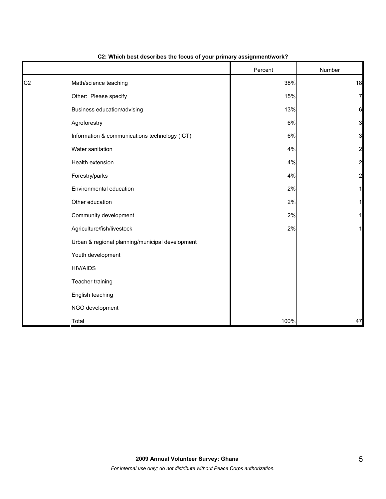|                |                                                 | Percent | Number         |
|----------------|-------------------------------------------------|---------|----------------|
| C <sub>2</sub> | Math/science teaching                           | 38%     | 18             |
|                | Other: Please specify                           | 15%     | 7              |
|                | Business education/advising                     | 13%     | $6 \mid$       |
|                | Agroforestry                                    | 6%      | 3              |
|                | Information & communications technology (ICT)   | 6%      | 3              |
|                | Water sanitation                                | 4%      | $\overline{a}$ |
|                | Health extension                                | 4%      | 2              |
|                | Forestry/parks                                  | 4%      | 2              |
|                | Environmental education                         | 2%      |                |
|                | Other education                                 | 2%      |                |
|                | Community development                           | 2%      |                |
|                | Agriculture/fish/livestock                      | 2%      |                |
|                | Urban & regional planning/municipal development |         |                |
|                | Youth development                               |         |                |
|                | <b>HIV/AIDS</b>                                 |         |                |
|                | Teacher training                                |         |                |
|                | English teaching                                |         |                |
|                | NGO development                                 |         |                |
|                | Total                                           | 100%    | 47             |

## **C2: Which best describes the focus of your primary assignment/work?**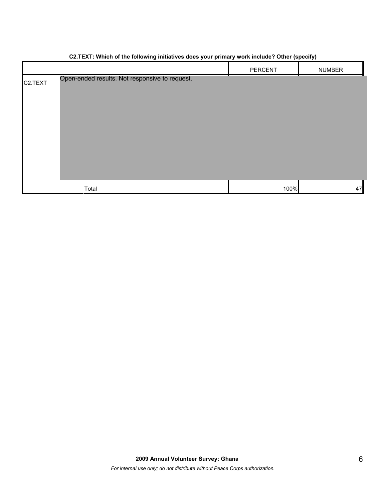|                      |                                                | PERCENT | <b>NUMBER</b> |
|----------------------|------------------------------------------------|---------|---------------|
| C <sub>2</sub> .TEXT | Open-ended results. Not responsive to request. |         |               |
|                      |                                                |         |               |
|                      |                                                |         |               |
|                      |                                                |         |               |
|                      |                                                |         |               |
|                      |                                                |         |               |
|                      |                                                |         |               |
|                      |                                                |         |               |
|                      |                                                |         |               |
|                      | Total                                          | 100%    | 47            |

#### **C2.TEXT: Which of the following initiatives does your primary work include? Other (specify)**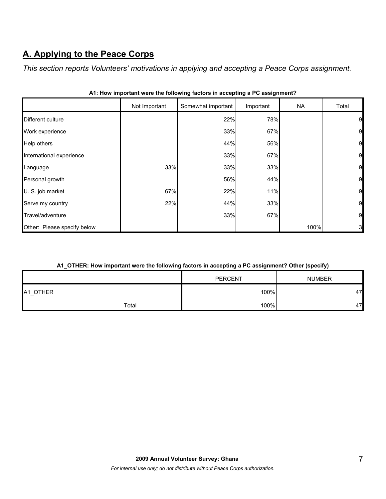# **A. Applying to the Peace Corps**

*This section reports Volunteers' motivations in applying and accepting a Peace Corps assignment.* 

|                             | Not Important | Somewhat important | Important | <b>NA</b> | Total |
|-----------------------------|---------------|--------------------|-----------|-----------|-------|
| Different culture           |               | 22%                | 78%       |           | 9     |
| Work experience             |               | 33%                | 67%       |           | 9     |
| Help others                 |               | 44%                | 56%       |           | 9     |
| International experience    |               | 33%                | 67%       |           | 9     |
| Language                    | 33%           | 33%                | 33%       |           | 9     |
| Personal growth             |               | 56%                | 44%       |           | 9     |
| U. S. job market            | 67%           | 22%                | 11%       |           | 9     |
| Serve my country            | 22%           | 44%                | 33%       |           | 9     |
| Travel/adventure            |               | 33%                | 67%       |           | 9     |
| Other: Please specify below |               |                    |           | 100%      | 3     |

|  |  |  |  | A1: How important were the following factors in accepting a PC assignment? |
|--|--|--|--|----------------------------------------------------------------------------|
|  |  |  |  |                                                                            |

### **A1\_OTHER: How important were the following factors in accepting a PC assignment? Other (specify)**

|          |       | <b>PERCENT</b> | <b>NUMBER</b> |
|----------|-------|----------------|---------------|
| A1_OTHER |       | 100%           | 47            |
|          | Total | 100%           | 47            |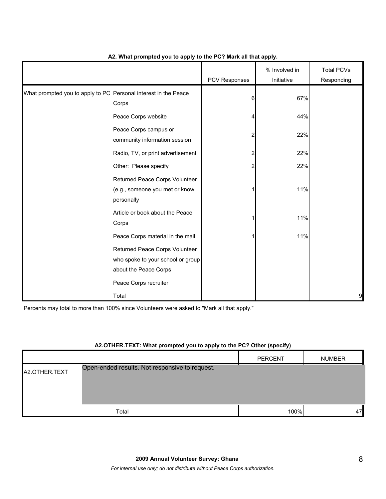|                                                                 |                                                                                                                       | PCV Responses | % Involved in<br>Initiative | <b>Total PCVs</b><br>Responding |
|-----------------------------------------------------------------|-----------------------------------------------------------------------------------------------------------------------|---------------|-----------------------------|---------------------------------|
| What prompted you to apply to PC Personal interest in the Peace | Corps                                                                                                                 | 6             | 67%                         |                                 |
|                                                                 | Peace Corps website                                                                                                   | Δ             | 44%                         |                                 |
|                                                                 | Peace Corps campus or<br>community information session                                                                |               | 22%                         |                                 |
|                                                                 | Radio, TV, or print advertisement                                                                                     | 2             | 22%                         |                                 |
|                                                                 | Other: Please specify                                                                                                 |               | 22%                         |                                 |
|                                                                 | Returned Peace Corps Volunteer<br>(e.g., someone you met or know<br>personally                                        |               | 11%                         |                                 |
|                                                                 | Article or book about the Peace<br>Corps                                                                              |               | 11%                         |                                 |
|                                                                 | Peace Corps material in the mail                                                                                      |               | 11%                         |                                 |
|                                                                 | Returned Peace Corps Volunteer<br>who spoke to your school or group<br>about the Peace Corps<br>Peace Corps recruiter |               |                             |                                 |
|                                                                 | Total                                                                                                                 |               |                             | 9                               |

### **A2. What prompted you to apply to the PC? Mark all that apply.**

Percents may total to more than 100% since Volunteers were asked to "Mark all that apply."

#### **A2.OTHER.TEXT: What prompted you to apply to the PC? Other (specify)**

|               |                                                | <b>PERCENT</b> | <b>NUMBER</b> |
|---------------|------------------------------------------------|----------------|---------------|
| A2.OTHER.TEXT | Open-ended results. Not responsive to request. |                |               |
|               |                                                |                |               |
|               | Total                                          | 100%           | 47            |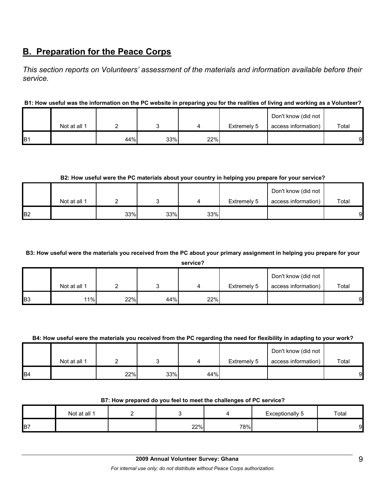# **B. Preparation for the Peace Corps**

*This section reports on Volunteers' assessment of the materials and information available before their service.* 

## **B1: How useful was the information on the PC website in preparing you for the realities of living and working as a Volunteer?**

|                 |              |     |     |     |             | Don't know (did not |       |
|-----------------|--------------|-----|-----|-----|-------------|---------------------|-------|
|                 | Not at all 1 |     |     |     | Extremely 5 | access information) | Total |
| IB <sub>1</sub> |              | 44% | 33% | 22% |             |                     | 9     |

#### **B2: How useful were the PC materials about your country in helping you prepare for your service?**

|                |              |     |     |     |             | Don't know (did not |       |
|----------------|--------------|-----|-----|-----|-------------|---------------------|-------|
|                | Not at all 1 |     |     |     | Extremely 5 | access information) | Total |
| B <sub>2</sub> |              | 33% | 33% | 33% |             |                     | 9     |

#### **B3: How useful were the materials you received from the PC about your primary assignment in helping you prepare for your**

**service?**

|            | Not at all 1 |     |     |     | Extremely 5 | Don't know (did not<br>access information) | Total |
|------------|--------------|-----|-----|-----|-------------|--------------------------------------------|-------|
| <b>B</b> 3 | 11%          | 22% | 44% | 22% |             |                                            | 9     |

#### **B4: How useful were the materials you received from the PC regarding the need for flexibility in adapting to your work?**

|                 | Not at all 1 |     |     |     | Extremely 5 | Don't know (did not<br>access information) | Total |
|-----------------|--------------|-----|-----|-----|-------------|--------------------------------------------|-------|
| IB <sub>4</sub> |              | 22% | 33% | 44% |             |                                            | 9     |

#### **B7: How prepared do you feel to meet the challenges of PC service?**

|    | Not at all 1 |     |     | Exceptionally 5 | Total |
|----|--------------|-----|-----|-----------------|-------|
| B7 |              | 22% | 78% |                 | 91    |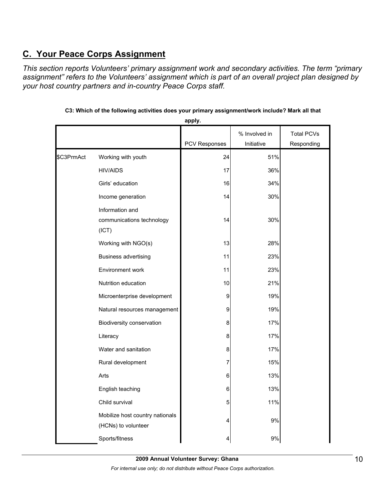# **C. Your Peace Corps Assignment**

*This section reports Volunteers' primary assignment work and secondary activities. The term "primary assignment" refers to the Volunteers' assignment which is part of an overall project plan designed by your host country partners and in-country Peace Corps staff.* 

|            |                                                        |               | % Involved in | <b>Total PCVs</b> |
|------------|--------------------------------------------------------|---------------|---------------|-------------------|
|            |                                                        | PCV Responses | Initiative    | Responding        |
| \$C3PrmAct | Working with youth                                     | 24            | 51%           |                   |
|            | <b>HIV/AIDS</b>                                        | 17            | 36%           |                   |
|            | Girls' education                                       | 16            | 34%           |                   |
|            | Income generation                                      | 14            | 30%           |                   |
|            | Information and<br>communications technology<br>(ICT)  | 14            | 30%           |                   |
|            | Working with NGO(s)                                    | 13            | 28%           |                   |
|            | <b>Business advertising</b>                            | 11            | 23%           |                   |
|            | Environment work                                       | 11            | 23%           |                   |
|            | Nutrition education                                    | 10            | 21%           |                   |
|            | Microenterprise development                            | 9             | 19%           |                   |
|            | Natural resources management                           | 9             | 19%           |                   |
|            | Biodiversity conservation                              | 8             | 17%           |                   |
|            | Literacy                                               | 8             | 17%           |                   |
|            | Water and sanitation                                   | 8             | 17%           |                   |
|            | Rural development                                      | 7             | 15%           |                   |
|            | Arts                                                   | 6             | 13%           |                   |
|            | English teaching                                       | 6             | 13%           |                   |
|            | Child survival                                         | 5             | 11%           |                   |
|            | Mobilize host country nationals<br>(HCNs) to volunteer | 4             | 9%            |                   |
|            | Sports/fitness                                         |               | 9%            |                   |

**C3: Which of the following activities does your primary assignment/work include? Mark all that apply.**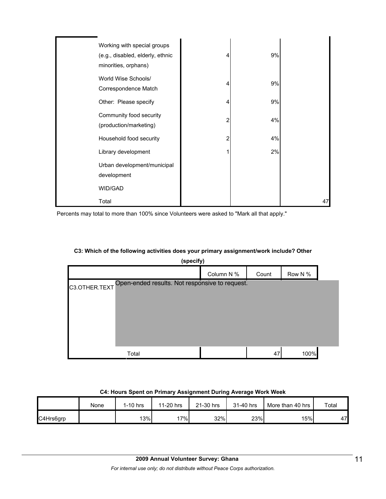| Working with special groups<br>(e.g., disabled, elderly, ethnic<br>minorities, orphans) | 4 | 9% |    |
|-----------------------------------------------------------------------------------------|---|----|----|
| World Wise Schools/<br>Correspondence Match                                             | 4 | 9% |    |
| Other: Please specify                                                                   | 4 | 9% |    |
| Community food security<br>(production/marketing)                                       | 2 | 4% |    |
| Household food security                                                                 | 2 | 4% |    |
| Library development                                                                     |   | 2% |    |
| Urban development/municipal<br>development                                              |   |    |    |
| WID/GAD                                                                                 |   |    |    |
| Total                                                                                   |   |    | 47 |

Percents may total to more than 100% since Volunteers were asked to "Mark all that apply."

#### **C3: Which of the following activities does your primary assignment/work include? Other**

|                                                                 | (specify) |            |       |         |  |  |  |
|-----------------------------------------------------------------|-----------|------------|-------|---------|--|--|--|
|                                                                 |           | Column N % | Count | Row N % |  |  |  |
| Open-ended results. Not responsive to request.<br>C3.OTHER.TEXT |           |            |       |         |  |  |  |
|                                                                 |           |            |       |         |  |  |  |
|                                                                 |           |            |       |         |  |  |  |
|                                                                 |           |            |       |         |  |  |  |
|                                                                 |           |            |       |         |  |  |  |
|                                                                 | Total     |            | 47    | 100%    |  |  |  |

## **C4: Hours Spent on Primary Assignment During Average Work Week**

|           | None | 1-10 hrs | 11-20 hrs | 21-30 hrs | 31-40 hrs | More than 40 hrs | Total |
|-----------|------|----------|-----------|-----------|-----------|------------------|-------|
| C4Hrs6grp |      | 13%      | $'7\%$    | 32%       | 23%       | 15%              | 47    |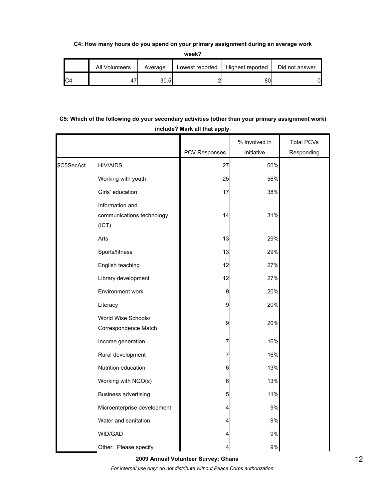**C4: How many hours do you spend on your primary assignment during an average work** 

**week?**

| All Volunteers | Average | Lowest reported | Highest reported | Did not answer |
|----------------|---------|-----------------|------------------|----------------|
| 41             | 30.5    |                 | ŏU               | 01             |

## **C5: Which of the following do your secondary activities (other than your primary assignment work) include? Mark all that apply.**

|            |                                             | PCV Responses | % Involved in<br>Initiative | <b>Total PCVs</b><br>Responding |
|------------|---------------------------------------------|---------------|-----------------------------|---------------------------------|
| \$C5SecAct | <b>HIV/AIDS</b>                             | 27            | 60%                         |                                 |
|            | Working with youth                          | 25            | 56%                         |                                 |
|            | Girls' education                            | 17            | 38%                         |                                 |
|            | Information and                             |               |                             |                                 |
|            | communications technology                   | 14            | 31%                         |                                 |
|            | (ICT)                                       |               |                             |                                 |
|            | Arts                                        | 13            | 29%                         |                                 |
|            | Sports/fitness                              | 13            | 29%                         |                                 |
|            | English teaching                            | 12            | 27%                         |                                 |
|            | Library development                         | 12            | 27%                         |                                 |
|            | Environment work                            | 9             | 20%                         |                                 |
|            | Literacy                                    | 9             | 20%                         |                                 |
|            | World Wise Schools/<br>Correspondence Match | 9             | 20%                         |                                 |
|            | Income generation                           | 7             | 16%                         |                                 |
|            | Rural development                           | 7             | 16%                         |                                 |
|            | Nutrition education                         | $\,6$         | 13%                         |                                 |
|            | Working with NGO(s)                         | $\mathbf 6$   | 13%                         |                                 |
|            | <b>Business advertising</b>                 | 5             | 11%                         |                                 |
|            | Microenterprise development                 | 4             | 9%                          |                                 |
|            | Water and sanitation                        | 4             | 9%                          |                                 |
|            | WID/GAD                                     | 4             | 9%                          |                                 |
|            | Other: Please specify                       | 4             | 9%                          |                                 |

**2009 Annual Volunteer Survey: Ghana** 

*For internal use only; do not distribute without Peace Corps authorization.*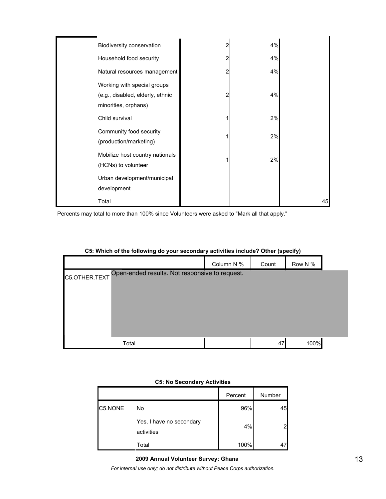| Biodiversity conservation                                                               |   | 4% |    |
|-----------------------------------------------------------------------------------------|---|----|----|
| Household food security                                                                 | 2 | 4% |    |
| Natural resources management                                                            | 2 | 4% |    |
| Working with special groups<br>(e.g., disabled, elderly, ethnic<br>minorities, orphans) | 2 | 4% |    |
| Child survival                                                                          |   | 2% |    |
| Community food security<br>(production/marketing)                                       |   | 2% |    |
| Mobilize host country nationals<br>(HCNs) to volunteer                                  |   | 2% |    |
| Urban development/municipal<br>development                                              |   |    |    |
| Total                                                                                   |   |    | 45 |

Percents may total to more than 100% since Volunteers were asked to "Mark all that apply."

|               |                                                | Column N % | Count | Row N % |  |
|---------------|------------------------------------------------|------------|-------|---------|--|
| C5.OTHER.TEXT | Open-ended results. Not responsive to request. |            |       |         |  |
|               |                                                |            |       |         |  |
|               |                                                |            |       |         |  |
|               |                                                |            |       |         |  |
|               |                                                |            |       |         |  |
|               | Total                                          |            | 47    | 100%    |  |

## **C5: Which of the following do your secondary activities include? Other (specify)**

#### **C5: No Secondary Activities**

|         |                                        | Percent | Number |
|---------|----------------------------------------|---------|--------|
| C5.NONE | No                                     | 96%     | 45     |
|         | Yes, I have no secondary<br>activities | 4%      |        |
|         | Total                                  | 100%    |        |

#### **2009 Annual Volunteer Survey: Ghana**

*For internal use only; do not distribute without Peace Corps authorization.*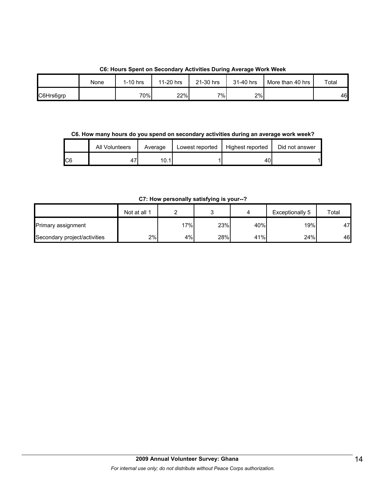|           | None | $1-10$ hrs | 11-20 hrs | 21-30 hrs | 31-40 hrs | More than 40 hrs | Total |
|-----------|------|------------|-----------|-----------|-----------|------------------|-------|
| C6Hrs6grp |      | 70%        | 22%       | $7\%$     | 2%        |                  | 46    |

**C6. How many hours do you spend on secondary activities during an average work week?**

|     | All Volunteers | Average | Lowest reported | Highest reported | Did not answer |
|-----|----------------|---------|-----------------|------------------|----------------|
| IC6 | 4,             | 10.1    |                 | 40               |                |

**C7: How personally satisfying is your--?**

|                              | Not at all 1 |     |     |     | Exceptionally 5  | Total |
|------------------------------|--------------|-----|-----|-----|------------------|-------|
| Primary assignment           |              | 17% | 23% | 40% | 19% <sub>I</sub> | 47    |
| Secondary project/activities | 2%           | 4%  | 28% | 41% | 24%              | 46    |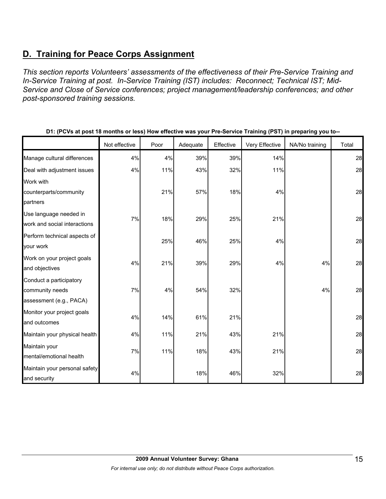# **D. Training for Peace Corps Assignment**

*This section reports Volunteers' assessments of the effectiveness of their Pre-Service Training and In-Service Training at post. In-Service Training (IST) includes: Reconnect; Technical IST; Mid-Service and Close of Service conferences; project management/leadership conferences; and other post-sponsored training sessions.* 

|                                                                       | Not effective | Poor | Adequate | Effective | Very Effective | NA/No training | Total |
|-----------------------------------------------------------------------|---------------|------|----------|-----------|----------------|----------------|-------|
| Manage cultural differences                                           | 4%            | 4%   | 39%      | 39%       | 14%            |                | 28    |
| Deal with adjustment issues                                           | 4%            | 11%  | 43%      | 32%       | 11%            |                | 28    |
| Work with<br>counterparts/community<br>partners                       |               | 21%  | 57%      | 18%       | 4%             |                | 28    |
| Use language needed in<br>work and social interactions                | 7%            | 18%  | 29%      | 25%       | 21%            |                | 28    |
| Perform technical aspects of<br>your work                             |               | 25%  | 46%      | 25%       | 4%             |                | 28    |
| Work on your project goals<br>and objectives                          | 4%            | 21%  | 39%      | 29%       | 4%             | 4%             | 28    |
| Conduct a participatory<br>community needs<br>assessment (e.g., PACA) | 7%            | 4%   | 54%      | 32%       |                | 4%             | 28    |
| Monitor your project goals<br>and outcomes                            | 4%            | 14%  | 61%      | 21%       |                |                | 28    |
| Maintain your physical health                                         | 4%            | 11%  | 21%      | 43%       | 21%            |                | 28    |
| Maintain your<br>mental/emotional health                              | 7%            | 11%  | 18%      | 43%       | 21%            |                | 28    |
| Maintain your personal safety<br>and security                         | 4%            |      | 18%      | 46%       | 32%            |                | 28    |

**D1: (PCVs at post 18 months or less) How effective was your Pre-Service Training (PST) in preparing you to--**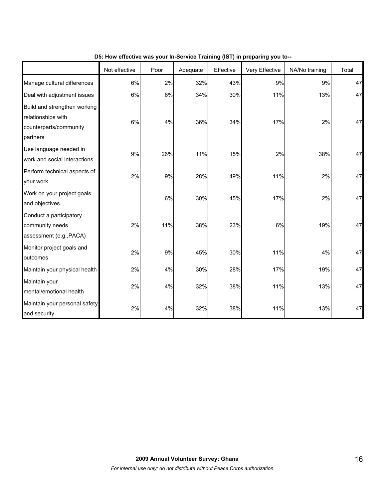|                                                                                          | Not effective | Poor | Adequate | Effective | Very Effective | NA/No training | Total |
|------------------------------------------------------------------------------------------|---------------|------|----------|-----------|----------------|----------------|-------|
| Manage cultural differences                                                              | 6%            | 2%   | 32%      | 43%       | 9%             | 9%             | 47    |
| Deal with adjustment issues                                                              | 6%            | 6%   | 34%      | 30%       | 11%            | 13%            | 47    |
| Build and strengthen working<br>relationships with<br>counterparts/community<br>partners | 6%            | 4%   | 36%      | 34%       | 17%            | 2%             | 47    |
| Use language needed in<br>work and social interactions                                   | 9%            | 26%  | 11%      | 15%       | 2%             | 38%            | 47    |
| Perform technical aspects of<br>your work                                                | 2%            | 9%   | 28%      | 49%       | 11%            | 2%             | 47    |
| Work on your project goals<br>and objectives                                             |               | 6%   | 30%      | 45%       | 17%            | 2%             | 47    |
| Conduct a participatory<br>community needs<br>assessment (e.g., PACA)                    | 2%            | 11%  | 38%      | 23%       | 6%             | 19%            | 47    |
| Monitor project goals and<br>outcomes                                                    | 2%            | 9%   | 45%      | 30%       | 11%            | 4%             | 47    |
| Maintain your physical health                                                            | 2%            | 4%   | 30%      | 28%       | 17%            | 19%            | 47    |
| Maintain your<br>mental/emotional health                                                 | 2%            | 4%   | 32%      | 38%       | 11%            | 13%            | 47    |
| Maintain your personal safety<br>and security                                            | 2%            | 4%   | 32%      | 38%       | 11%            | 13%            | 47    |

**D5: How effective was your In-Service Training (IST) in preparing you to--**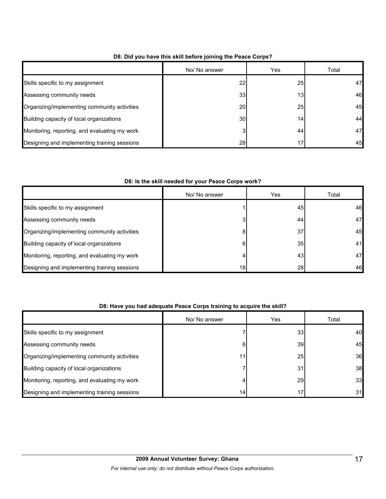|                                               | No/ No answer | Yes             | Total |
|-----------------------------------------------|---------------|-----------------|-------|
| Skills specific to my assignment              | 22            | 25              | 47    |
| Assessing community needs                     | 33            | 13 <sub>1</sub> | 46    |
| Organizing/implementing community activities  | 20            | 25              | 45    |
| Building capacity of local organizations      | 30            | 14              | 44    |
| Monitoring, reporting, and evaluating my work | 3             | 44              | 47    |
| Designing and implementing training sessions  | 28            |                 | 45    |

## **D8: Did you have this skill before joining the Peace Corps?**

## **D8: Is the skill needed for your Peace Corps work?**

|                                               | No/ No answer   | Yes | Total |
|-----------------------------------------------|-----------------|-----|-------|
| Skills specific to my assignment              |                 | 45  | 46    |
| Assessing community needs                     | 3               | 44  | 47    |
| Organizing/implementing community activities  | 8               | 37  | 45    |
| Building capacity of local organizations      | 6               | 35  | 41    |
| Monitoring, reporting, and evaluating my work | 4               | 43  | 47    |
| Designing and implementing training sessions  | 18 <sub>l</sub> | 28  | 46    |

## **D8: Have you had adequate Peace Corps training to acquire the skill?**

|                                               | No/ No answer | Yes | Total |
|-----------------------------------------------|---------------|-----|-------|
| Skills specific to my assignment              |               | 33  | 40    |
| Assessing community needs                     | 6             | 39  | 45    |
| Organizing/implementing community activities  | 11            | 25  | 36    |
| Building capacity of local organizations      |               | 31  | 38    |
| Monitoring, reporting, and evaluating my work | 4             | 29  | 33    |
| Designing and implementing training sessions  | 14            | 17  | 31    |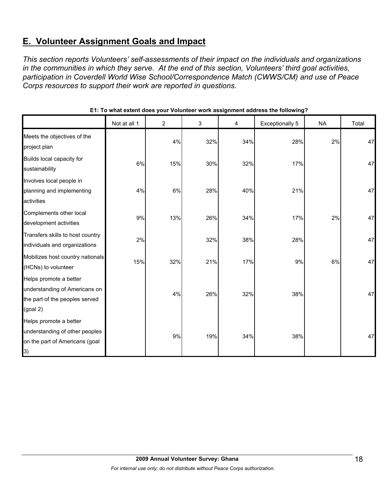# **E. Volunteer Assignment Goals and Impact**

*This section reports Volunteers' self-assessments of their impact on the individuals and organizations in the communities in which they serve. At the end of this section, Volunteers' third goal activities, participation in Coverdell World Wise School/Correspondence Match (CWWS/CM) and use of Peace Corps resources to support their work are reported in questions.* 

|                                                                                                                 | Not at all 1 | $\overline{2}$ | 3   | 4   | <b>Exceptionally 5</b> | <b>NA</b> | Total |
|-----------------------------------------------------------------------------------------------------------------|--------------|----------------|-----|-----|------------------------|-----------|-------|
| Meets the objectives of the<br>project plan                                                                     |              | 4%             | 32% | 34% | 28%                    | 2%        | 47    |
| Builds local capacity for<br>sustainability                                                                     | 6%           | 15%            | 30% | 32% | 17%                    |           | 47    |
| Involves local people in<br>planning and implementing<br>activities                                             | 4%           | 6%             | 28% | 40% | 21%                    |           | 47    |
| Complements other local<br>development activities                                                               | 9%           | 13%            | 26% | 34% | 17%                    | 2%        | 47    |
| Transfers skills to host country<br>individuals and organizations                                               | 2%           |                | 32% | 38% | 28%                    |           | 47    |
| Mobilizes host country nationals<br>(HCNs) to volunteer                                                         | 15%          | 32%            | 21% | 17% | 9%                     | 6%        | 47    |
| Helps promote a better<br>understanding of Americans on<br>the part of the peoples served<br>$(g$ oal 2)        |              | 4%             | 26% | 32% | 38%                    |           | 47    |
| Helps promote a better<br>understanding of other peoples<br>on the part of Americans (goal<br>$\left( 3\right)$ |              | 9%             | 19% | 34% | 38%                    |           | 47    |

#### **E1: To what extent does your Volunteer work assignment address the following?**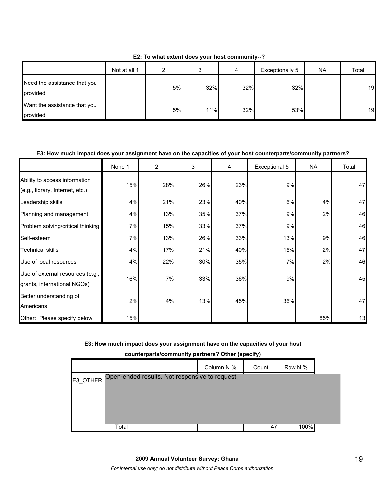|                                          | Not at all 1 | ົ  |     | 4   | Exceptionally 5 | <b>NA</b> | Total |
|------------------------------------------|--------------|----|-----|-----|-----------------|-----------|-------|
| Need the assistance that you<br>provided |              | 5% | 32% | 32% | 32%             |           | 19    |
| Want the assistance that you<br>provided |              | 5% | 11% | 32% | 53%             |           | 19    |

**E2: To what extent does your host community--?**

## **E3: How much impact does your assignment have on the capacities of your host counterparts/community partners?**

|                                                                  | None 1 | $\overline{2}$ | 3   | 4   | Exceptional 5 | <b>NA</b> | Total |
|------------------------------------------------------------------|--------|----------------|-----|-----|---------------|-----------|-------|
| Ability to access information<br>(e.g., library, Internet, etc.) | 15%    | 28%            | 26% | 23% | 9%            |           | 47    |
| Leadership skills                                                | 4%     | 21%            | 23% | 40% | 6%            | 4%        | 47    |
| Planning and management                                          | 4%     | 13%            | 35% | 37% | 9%            | 2%        | 46    |
| Problem solving/critical thinking                                | 7%     | 15%            | 33% | 37% | 9%            |           | 46    |
| Self-esteem                                                      | 7%     | 13%            | 26% | 33% | 13%           | 9%        | 46    |
| <b>Technical skills</b>                                          | 4%     | 17%            | 21% | 40% | 15%           | 2%        | 47    |
| Use of local resources                                           | 4%     | 22%            | 30% | 35% | 7%            | 2%        | 46    |
| Use of external resources (e.g.,<br>grants, international NGOs)  | 16%    | 7%             | 33% | 36% | 9%            |           | 45    |
| Better understanding of<br>Americans                             | 2%     | 4%             | 13% | 45% | 36%           |           | 47    |
| Other: Please specify below                                      | 15%    |                |     |     |               | 85%       | 13    |

#### **E3: How much impact does your assignment have on the capacities of your host**

**counterparts/community partners? Other (specify)**

|          |                                                | Column N % | Count | Row N % |  |
|----------|------------------------------------------------|------------|-------|---------|--|
| E3 OTHER | Open-ended results. Not responsive to request. |            |       |         |  |
|          |                                                |            |       |         |  |
|          |                                                |            |       |         |  |
|          |                                                |            |       |         |  |
|          | Total                                          |            | 47    | 100%    |  |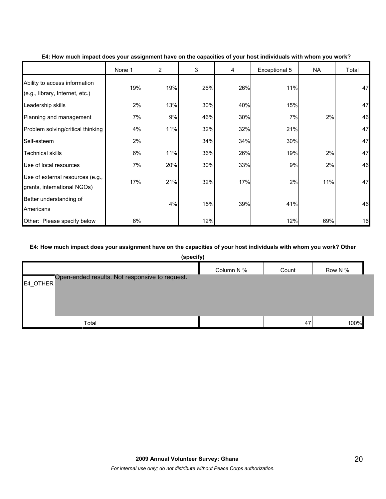|                                                                  | None 1 | $\overline{2}$ | 3   | 4   | Exceptional 5 | NA  | Total |
|------------------------------------------------------------------|--------|----------------|-----|-----|---------------|-----|-------|
| Ability to access information<br>(e.g., library, Internet, etc.) | 19%    | 19%            | 26% | 26% | 11%           |     | 47    |
| Leadership skills                                                | 2%     | 13%            | 30% | 40% | 15%           |     | 47    |
| Planning and management                                          | 7%     | 9%             | 46% | 30% | 7%            | 2%  | 46    |
| Problem solving/critical thinking                                | 4%     | 11%            | 32% | 32% | 21%           |     | 47    |
| Self-esteem                                                      | 2%     |                | 34% | 34% | 30%           |     | 47    |
| Technical skills                                                 | 6%     | 11%            | 36% | 26% | 19%           | 2%  | 47    |
| Use of local resources                                           | 7%     | 20%            | 30% | 33% | 9%            | 2%  | 46    |
| Use of external resources (e.g.,<br>grants, international NGOs)  | 17%    | 21%            | 32% | 17% | 2%            | 11% | 47    |
| Better understanding of<br>Americans                             |        | 4%             | 15% | 39% | 41%           |     | 46    |
| Other: Please specify below                                      | 6%     |                | 12% |     | 12%           | 69% | 16    |

#### **E4: How much impact does your assignment have on the capacities of your host individuals with whom you work?**

## **E4: How much impact does your assignment have on the capacities of your host individuals with whom you work? Other**

| (specify)                                                     |            |       |         |
|---------------------------------------------------------------|------------|-------|---------|
|                                                               | Column N % | Count | Row N % |
| Open-ended results. Not responsive to request.<br>$E4$ _OTHER |            |       |         |
| Total                                                         |            | 47    | 100%    |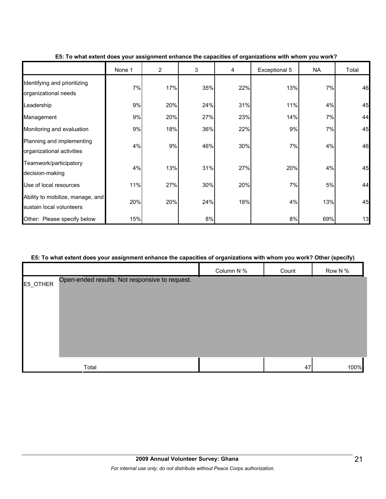|                                                              | None 1 | $\overline{2}$ | 3   | 4   | Exceptional 5 | <b>NA</b> | Total |
|--------------------------------------------------------------|--------|----------------|-----|-----|---------------|-----------|-------|
| Identifying and prioritizing<br>organizational needs         | 7%     | 17%            | 35% | 22% | 13%           | 7%        | 46    |
| Leadership                                                   | 9%     | 20%            | 24% | 31% | 11%           | 4%        | 45    |
| Management                                                   | 9%     | 20%            | 27% | 23% | 14%           | 7%        | 44    |
| Monitoring and evaluation                                    | 9%     | 18%            | 36% | 22% | 9%            | 7%        | 45    |
| Planning and implementing<br>organizational activities       | 4%     | 9%             | 46% | 30% | 7%            | 4%        | 46    |
| Teamwork/participatory<br>decision-making                    | 4%     | 13%            | 31% | 27% | 20%           | 4%        | 45    |
| Use of local resources                                       | 11%    | 27%            | 30% | 20% | 7%            | 5%        | 44    |
| Ability to mobilize, manage, and<br>sustain local volunteers | 20%    | 20%            | 24% | 18% | 4%            | 13%       | 45    |
| Other: Please specify below                                  | 15%    |                | 8%  |     | 8%            | 69%       | 13    |

## **E5: To what extent does your assignment enhance the capacities of organizations with whom you work?**

## **E5: To what extent does your assignment enhance the capacities of organizations with whom you work? Other (specify)**

|          |                                                |            |       | . .<br>. . |
|----------|------------------------------------------------|------------|-------|------------|
|          |                                                | Column N % | Count | Row N %    |
| E5_OTHER | Open-ended results. Not responsive to request. |            |       |            |
|          |                                                |            |       |            |
|          |                                                |            |       |            |
|          |                                                |            |       |            |
|          |                                                |            |       |            |
|          |                                                |            |       |            |
|          |                                                |            |       |            |
|          |                                                |            |       |            |
|          | Total                                          |            | 47    | 100%       |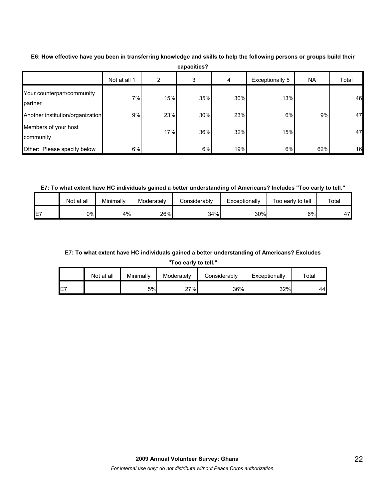|                                       | Not at all 1 | 2   | 3   | 4   | Exceptionally 5 | <b>NA</b> | Total |
|---------------------------------------|--------------|-----|-----|-----|-----------------|-----------|-------|
| Your counterpart/community<br>partner | 7%           | 15% | 35% | 30% | 13%             |           | 46    |
| Another institution/organization      | 9%           | 23% | 30% | 23% | 6%              | 9%        | 47    |
| Members of your host<br>community     |              | 17% | 36% | 32% | 15%             |           | 47    |
| Other: Please specify below           | 6%           |     | 6%  | 19% | 6%              | 62%       | 16    |

**E6: How effective have you been in transferring knowledge and skills to help the following persons or groups build their capacities?**

**E7: To what extent have HC individuals gained a better understanding of Americans? Includes "Too early to tell."**

|    | Not at all | Minimally | Moderatelv | Considerably | Exceptionally | Too early to tell | Total |
|----|------------|-----------|------------|--------------|---------------|-------------------|-------|
| E7 | 0%l        | 4%        | 26%        | 34%          | 30%           | 6%                | 47    |

## **E7: To what extent have HC individuals gained a better understanding of Americans? Excludes**

**"Too early to tell."**

|     | Not at all | Minimally | Moderately | Considerably | Exceptionally | ⊤otal |
|-----|------------|-----------|------------|--------------|---------------|-------|
| IE7 |            | 5%        | 27%        | 36%          | 32%           | 44    |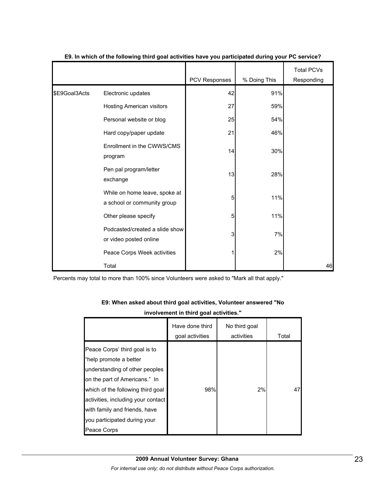|               |                                                              |               |              | <b>Total PCVs</b> |
|---------------|--------------------------------------------------------------|---------------|--------------|-------------------|
|               |                                                              | PCV Responses | % Doing This | Responding        |
| \$E9Goal3Acts | Electronic updates                                           | 42            | 91%          |                   |
|               | Hosting American visitors                                    | 27            | 59%          |                   |
|               | Personal website or blog                                     | 25            | 54%          |                   |
|               | Hard copy/paper update                                       | 21            | 46%          |                   |
|               | Enrollment in the CWWS/CMS<br>program                        | 14            | 30%          |                   |
|               | Pen pal program/letter<br>exchange                           | 13            | 28%          |                   |
|               | While on home leave, spoke at<br>a school or community group | 5             | 11%          |                   |
|               | Other please specify                                         | 5             | 11%          |                   |
|               | Podcasted/created a slide show<br>or video posted online     | 3             | 7%           |                   |
|               | Peace Corps Week activities                                  |               | 2%           |                   |
|               | Total                                                        |               |              | 46                |

### **E9. In which of the following third goal activities have you participated during your PC service?**

| E9: When asked about third goal activities, Volunteer answered "No |  |
|--------------------------------------------------------------------|--|
| involvement in third goal activities."                             |  |

|                                                                                                                                                                                                                                                                                       | Have done third<br>goal activities | No third goal<br>activities | Total |
|---------------------------------------------------------------------------------------------------------------------------------------------------------------------------------------------------------------------------------------------------------------------------------------|------------------------------------|-----------------------------|-------|
| Peace Corps' third goal is to<br>"help promote a better<br>understanding of other peoples<br>on the part of Americans." In<br>which of the following third goal<br>activities, including your contact<br>with family and friends, have<br>you participated during your<br>Peace Corps | 98%                                | 2%                          | 47    |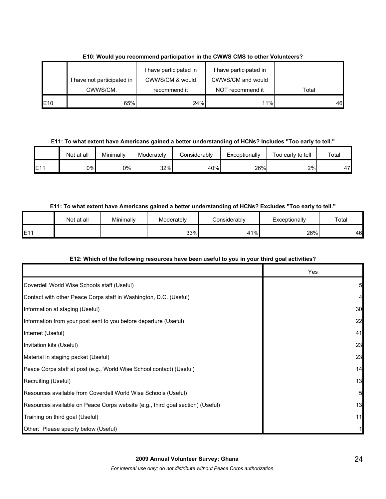|     |                          | I have participated in | I have participated in |       |
|-----|--------------------------|------------------------|------------------------|-------|
|     | have not participated in | CWWS/CM & would        | CWWS/CM and would      |       |
|     | CWWS/CM.                 | recommend it           | NOT recommend it       | Total |
| E10 | 65%                      | 24%                    | 11%                    | 46    |

**E10: Would you recommend participation in the CWWS CMS to other Volunteers?**

**E11: To what extent have Americans gained a better understanding of HCNs? Includes "Too early to tell."**

|     | Not at all | Minimally | Moderately | Considerably | Exceptionally | Too early to tell | $\tau$ otal |
|-----|------------|-----------|------------|--------------|---------------|-------------------|-------------|
| E11 | 0%l        | 0%        | 32%        | 40%          | 26%           | 2%                | 47          |

## **E11: To what extent have Americans gained a better understanding of HCNs? Excludes "Too early to tell."**

|           | Not at all | Minimally | Moderately | Considerablv | Exceptionally | Total |
|-----------|------------|-----------|------------|--------------|---------------|-------|
| E11<br>┕╹ |            |           | 33%        | 41%          | 26%           | 46    |

## **E12: Which of the following resources have been useful to you in your third goal activities?**

|                                                                                | Yes |
|--------------------------------------------------------------------------------|-----|
| Coverdell World Wise Schools staff (Useful)                                    | 5   |
| Contact with other Peace Corps staff in Washington, D.C. (Useful)              | 4   |
| Information at staging (Useful)                                                | 30  |
| Information from your post sent to you before departure (Useful)               | 22  |
| Internet (Useful)                                                              | 41  |
| Invitation kits (Useful)                                                       | 23  |
| Material in staging packet (Useful)                                            | 23  |
| Peace Corps staff at post (e.g., World Wise School contact) (Useful)           | 14  |
| Recruiting (Useful)                                                            | 13  |
| Resources available from Coverdell World Wise Schools (Useful)                 | 5   |
| Resources available on Peace Corps website (e.g., third goal section) (Useful) | 13  |
| Training on third goal (Useful)                                                | 11  |
| Other: Please specify below (Useful)                                           |     |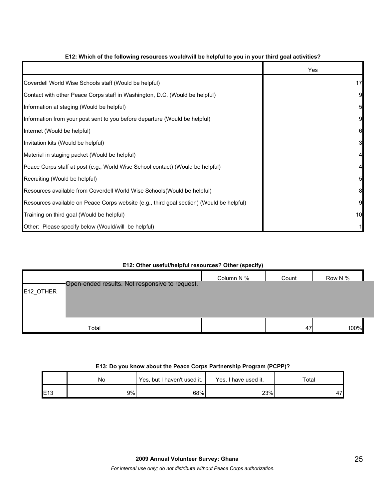|                                                                                          | Yes |
|------------------------------------------------------------------------------------------|-----|
| Coverdell World Wise Schools staff (Would be helpful)                                    | 17  |
| Contact with other Peace Corps staff in Washington, D.C. (Would be helpful)              | 9   |
| Information at staging (Would be helpful)                                                | 5   |
| Information from your post sent to you before departure (Would be helpful)               | 9   |
| Internet (Would be helpful)                                                              | 6   |
| Invitation kits (Would be helpful)                                                       | 3   |
| Material in staging packet (Would be helpful)                                            |     |
| Peace Corps staff at post (e.g., World Wise School contact) (Would be helpful)           |     |
| Recruiting (Would be helpful)                                                            | 5   |
| Resources available from Coverdell World Wise Schools (Would be helpful)                 | 8   |
| Resources available on Peace Corps website (e.g., third goal section) (Would be helpful) | 9   |
| Training on third goal (Would be helpful)                                                | 10  |
| Other: Please specify below (Would/will be helpful)                                      |     |

## **E12: Which of the following resources would/will be helpful to you in your third goal activities?**

### **E12: Other useful/helpful resources? Other (specify)**

|           |                                                | . .<br>. . |       |         |
|-----------|------------------------------------------------|------------|-------|---------|
|           |                                                | Column N % | Count | Row N % |
|           | Open-ended results. Not responsive to request. |            |       |         |
| E12_OTHER |                                                |            |       |         |
|           |                                                |            |       |         |
|           |                                                |            |       |         |
|           | Total                                          |            | 47    | 100%    |
|           |                                                |            |       |         |

#### **E13: Do you know about the Peace Corps Partnership Program (PCPP)?**

|     | No  | Yes, but I haven't used it. | Yes, I have used it. | Total |
|-----|-----|-----------------------------|----------------------|-------|
| E13 | 9%I | 68%                         | 23%                  | 47    |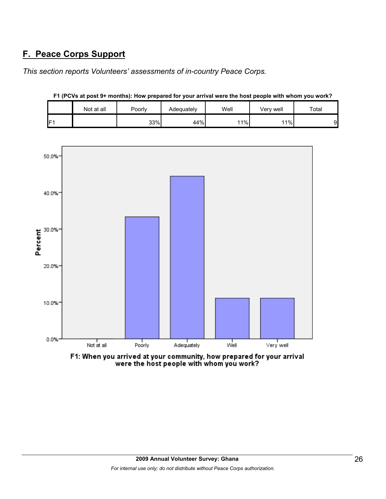# **F. Peace Corps Support**

*This section reports Volunteers' assessments of in-country Peace Corps.* 

|                 | Not at all | Poorly | Well<br>Adequately |     | Verv well | Total |
|-----------------|------------|--------|--------------------|-----|-----------|-------|
| IF <sub>1</sub> |            | 33%    | 44%                | 11% | 11%       | 9     |



**F1 (PCVs at post 9+ months): How prepared for your arrival were the host people with whom you work?**

F1: When you arrived at your community, how prepared for your arrival were the host people with whom you work?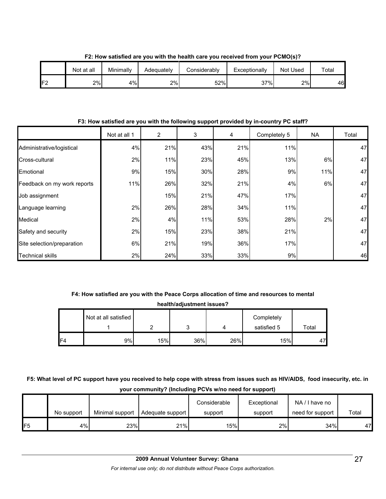|     | Not at all | Minimally | Adequately | Considerably | Exceptionally | Not Used | $\tau$ otal |
|-----|------------|-----------|------------|--------------|---------------|----------|-------------|
| IF2 | 2%         | 4%        | 2%         | 52%          | 37%           | 2%       | 46          |

**F2: How satisfied are you with the health care you received from your PCMO(s)?**

**F3: How satisfied are you with the following support provided by in-country PC staff?**

|                             | Not at all 1 | $\overline{2}$ | 3   | 4   | Completely 5 | <b>NA</b> | Total |
|-----------------------------|--------------|----------------|-----|-----|--------------|-----------|-------|
| Administrative/logistical   | 4%           | 21%            | 43% | 21% | 11%          |           | 47    |
| Cross-cultural              | 2%           | 11%            | 23% | 45% | 13%          | 6%        | 47    |
| Emotional                   | 9%           | 15%            | 30% | 28% | 9%           | 11%       | 47    |
| Feedback on my work reports | 11%          | 26%            | 32% | 21% | 4%           | 6%        | 47    |
| Job assignment              |              | 15%            | 21% | 47% | 17%          |           | 47    |
| Language learning           | 2%           | 26%            | 28% | 34% | 11%          |           | 47    |
| Medical                     | 2%           | 4%             | 11% | 53% | 28%          | 2%        | 47    |
| Safety and security         | 2%           | 15%            | 23% | 38% | 21%          |           | 47    |
| Site selection/preparation  | 6%           | 21%            | 19% | 36% | 17%          |           | 47    |
| Technical skills            | 2%           | 24%            | 33% | 33% | 9%           |           | 46    |

# **F4: How satisfied are you with the Peace Corps allocation of time and resources to mental**

**health/adjustment issues?**

|                | Not at all satisfied |     |     |     | Completely  |       |
|----------------|----------------------|-----|-----|-----|-------------|-------|
|                |                      |     | ັ   |     | satisfied 5 | Total |
| F <sub>4</sub> | 9%l                  | 15% | 36% | 26% | 15%         | 47'   |

**F5: What level of PC support have you received to help cope with stress from issues such as HIV/AIDS, food insecurity, etc. in your community? (Including PCVs w/no need for support)**

|     | No support | Minimal support | Adequate support | Considerable<br>support | Exceptional<br>support | NA/I have no<br>need for support | Total |
|-----|------------|-----------------|------------------|-------------------------|------------------------|----------------------------------|-------|
| IF5 | 4%         | 23%             | 21%              | 15%                     | 2%                     | 34%                              | 47    |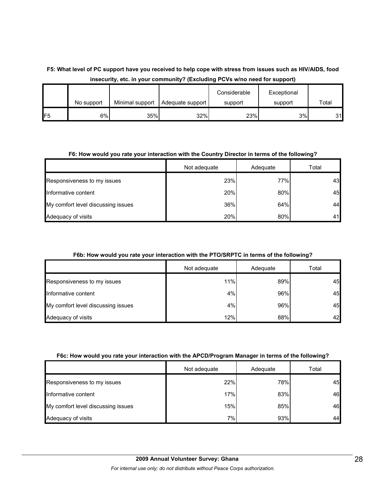## **F5: What level of PC support have you received to help cope with stress from issues such as HIV/AIDS, food insecurity, etc. in your community? (Excluding PCVs w/no need for support)**

|                |            |                 |                  | Considerable | Exceptional |       |
|----------------|------------|-----------------|------------------|--------------|-------------|-------|
|                | No support | Minimal support | Adequate support | support      | support     | Total |
| F <sub>5</sub> | 6%         | 35%             | 32%              | 23%          | 3%          | 31    |

## **F6: How would you rate your interaction with the Country Director in terms of the following?**

|                                    | Not adequate | Adequate | Total |
|------------------------------------|--------------|----------|-------|
| Responsiveness to my issues        | 23%          | 77%      | 43    |
| Informative content                | 20%          | 80%      | 45    |
| My comfort level discussing issues | 36%          | 64%      | 44    |
| Adequacy of visits                 | 20%          | 80%      | 41    |

### **F6b: How would you rate your interaction with the PTO/SRPTC in terms of the following?**

|                                    | Not adequate | Adequate | Total |
|------------------------------------|--------------|----------|-------|
| Responsiveness to my issues        | 11%          | 89%      | 45    |
| Informative content                | 4%           | 96%      | 45    |
| My comfort level discussing issues | 4%           | 96%      | 45    |
| Adequacy of visits                 | 12%          | 88%      | 42    |

### **F6c: How would you rate your interaction with the APCD/Program Manager in terms of the following?**

|                                    | Not adequate | Adequate | Total |
|------------------------------------|--------------|----------|-------|
| Responsiveness to my issues        | 22%          | 78%      | 45    |
| Informative content                | 17%          | 83%      | 46    |
| My comfort level discussing issues | 15%          | 85%      | 46    |
| Adequacy of visits                 | 7%           | 93%      | 44    |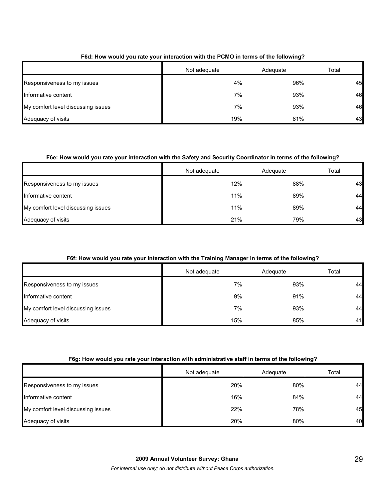|                                    | Not adequate | Adequate | Total |
|------------------------------------|--------------|----------|-------|
| Responsiveness to my issues        | 4%           | 96%      | 45    |
| Informative content                | 7%           | 93%      | 46    |
| My comfort level discussing issues | 7%           | 93%      | 46    |
| Adequacy of visits                 | 19%          | 81%      | 43    |

## **F6d: How would you rate your interaction with the PCMO in terms of the following?**

## **F6e: How would you rate your interaction with the Safety and Security Coordinator in terms of the following?**

|                                    | Not adequate | Adequate | Total |
|------------------------------------|--------------|----------|-------|
| Responsiveness to my issues        | 12%          | 88%      | 43    |
| Informative content                | 11%          | 89%      | 44    |
| My comfort level discussing issues | 11%          | 89%      | 44    |
| Adequacy of visits                 | 21%          | 79%      | 43    |

## **F6f: How would you rate your interaction with the Training Manager in terms of the following?**

|                                    | Not adequate    | Adequate | Total |
|------------------------------------|-----------------|----------|-------|
| Responsiveness to my issues        | 7% <sub>1</sub> | 93%      | 44    |
| Informative content                | 9%              | 91%      | 44    |
| My comfort level discussing issues | 7%              | 93%      | 44    |
| Adequacy of visits                 | 15%             | 85%      | 41    |

### **F6g: How would you rate your interaction with administrative staff in terms of the following?**

|                                    | Not adequate | Adequate | Total |
|------------------------------------|--------------|----------|-------|
| Responsiveness to my issues        | 20%          | 80%      | 44    |
| Informative content                | 16%          | 84%      | 44    |
| My comfort level discussing issues | 22%          | 78%      | 45    |
| Adequacy of visits                 | 20%          | 80%      | 40    |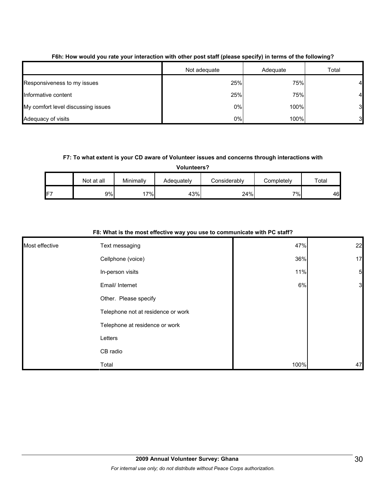|                                    | Not adequate | Adequate | Total          |
|------------------------------------|--------------|----------|----------------|
| Responsiveness to my issues        | 25%          | 75%      | 4              |
| Informative content                | 25%          | 75%      | 4              |
| My comfort level discussing issues | 0%           | 100%     | 3 <sub>l</sub> |
| Adequacy of visits                 | 0%           | 100%     | 3              |

### **F6h: How would you rate your interaction with other post staff (please specify) in terms of the following?**

### **F7: To what extent is your CD aware of Volunteer issues and concerns through interactions with**

**Volunteers?**

|    | Not at all | Minimally | Adequately | Considerablv | Completelv | Total |
|----|------------|-----------|------------|--------------|------------|-------|
| F7 | 9%         | 17%∣      | 43%        | 24%          | 7%         | 46    |

## **F8: What is the most effective way you use to communicate with PC staff?**

| Most effective | Text messaging                     | 47%  | 22              |
|----------------|------------------------------------|------|-----------------|
|                | Cellphone (voice)                  | 36%  | 17              |
|                | In-person visits                   | 11%  | $5\overline{)}$ |
|                | Email/ Internet                    | 6%   | 3               |
|                | Other. Please specify              |      |                 |
|                | Telephone not at residence or work |      |                 |
|                | Telephone at residence or work     |      |                 |
|                | Letters                            |      |                 |
|                | CB radio                           |      |                 |
|                | Total                              | 100% | 47              |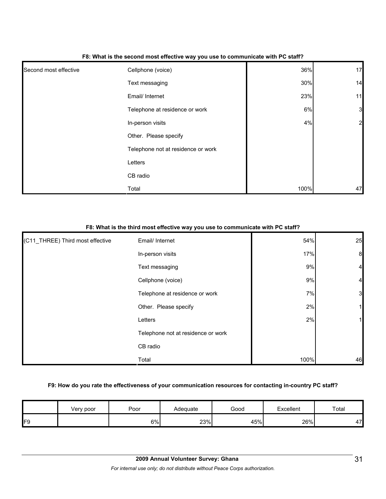|                       | - -                                |      |              |
|-----------------------|------------------------------------|------|--------------|
| Second most effective | Cellphone (voice)                  | 36%  | 17           |
|                       | Text messaging                     | 30%  | 14           |
|                       | Email/ Internet                    | 23%  | 11           |
|                       | Telephone at residence or work     | 6%   | $\mathbf{3}$ |
|                       | In-person visits                   | 4%   | 2            |
|                       | Other. Please specify              |      |              |
|                       | Telephone not at residence or work |      |              |
|                       | Letters                            |      |              |
|                       | CB radio                           |      |              |
|                       | Total                              | 100% | 47           |

#### **F8: What is the second most effective way you use to communicate with PC staff?**

## **F8: What is the third most effective way you use to communicate with PC staff?**

| (C11_THREE) Third most effective | Email/ Internet                    | 54%  | 25             |
|----------------------------------|------------------------------------|------|----------------|
|                                  | In-person visits                   | 17%  | 8              |
|                                  | Text messaging                     | 9%   | $\overline{4}$ |
|                                  | Cellphone (voice)                  | 9%   | $\overline{4}$ |
|                                  | Telephone at residence or work     | 7%   | 3              |
|                                  | Other. Please specify              | 2%   |                |
|                                  | Letters                            | 2%   |                |
|                                  | Telephone not at residence or work |      |                |
|                                  | CB radio                           |      |                |
|                                  | Total                              | 100% | 46             |

### **F9: How do you rate the effectiveness of your communication resources for contacting in-country PC staff?**

|     | Very poor | Poor | Adequate | Good | Excellent | Total |
|-----|-----------|------|----------|------|-----------|-------|
| IF9 |           | 6%   | 23%      | 45%  | 26%       | 47'   |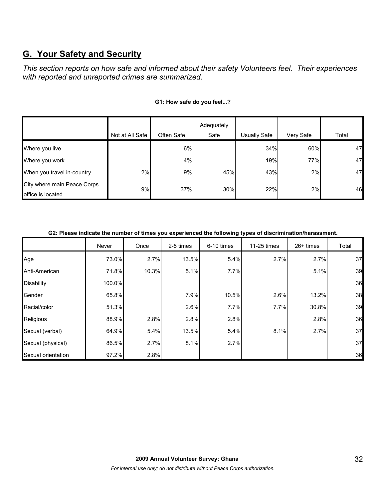# **G. Your Safety and Security**

*This section reports on how safe and informed about their safety Volunteers feel. Their experiences with reported and unreported crimes are summarized.* 

|                                                  |                 |            | Adequately |                     |           |       |
|--------------------------------------------------|-----------------|------------|------------|---------------------|-----------|-------|
|                                                  | Not at All Safe | Often Safe | Safe       | <b>Usually Safe</b> | Very Safe | Total |
| Where you live                                   |                 | 6%         |            | 34%                 | 60%       | 47    |
| Where you work                                   |                 | 4%         |            | 19%                 | 77%       | 47    |
| When you travel in-country                       | 2%              | 9%         | 45%        | 43%                 | 2%        | 47    |
| City where main Peace Corps<br>office is located | 9%              | 37%        | 30%        | 22%                 | 2%        | 46    |

### **G1: How safe do you feel...?**

#### **G2: Please indicate the number of times you experienced the following types of discrimination/harassment.**

|                    | Never  | Once  | 2-5 times | 6-10 times | 11-25 times | $26+$ times | Total |
|--------------------|--------|-------|-----------|------------|-------------|-------------|-------|
| Age                | 73.0%  | 2.7%  | 13.5%     | 5.4%       | 2.7%        | 2.7%        | 37    |
| Anti-American      | 71.8%  | 10.3% | 5.1%      | 7.7%       |             | 5.1%        | 39    |
| <b>Disability</b>  | 100.0% |       |           |            |             |             | 36    |
| Gender             | 65.8%  |       | 7.9%      | 10.5%      | 2.6%        | 13.2%       | 38    |
| Racial/color       | 51.3%  |       | 2.6%      | 7.7%       | 7.7%        | 30.8%       | 39    |
| Religious          | 88.9%  | 2.8%  | 2.8%      | 2.8%       |             | 2.8%        | 36    |
| Sexual (verbal)    | 64.9%  | 5.4%  | 13.5%     | 5.4%       | 8.1%        | 2.7%        | 37    |
| Sexual (physical)  | 86.5%  | 2.7%  | 8.1%      | 2.7%       |             |             | 37    |
| Sexual orientation | 97.2%  | 2.8%  |           |            |             |             | 36    |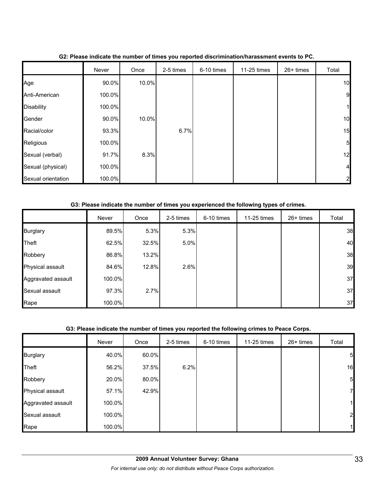|                    | Never  | Once  | 2-5 times | 6-10 times | 11-25 times | 26+ times | Total          |
|--------------------|--------|-------|-----------|------------|-------------|-----------|----------------|
| Age                | 90.0%  | 10.0% |           |            |             |           | 10             |
| Anti-American      | 100.0% |       |           |            |             |           | 9              |
| <b>Disability</b>  | 100.0% |       |           |            |             |           | 1              |
| Gender             | 90.0%  | 10.0% |           |            |             |           | 10             |
| Racial/color       | 93.3%  |       | 6.7%      |            |             |           | 15             |
| Religious          | 100.0% |       |           |            |             |           | 5              |
| Sexual (verbal)    | 91.7%  | 8.3%  |           |            |             |           | 12             |
| Sexual (physical)  | 100.0% |       |           |            |             |           | $\overline{a}$ |
| Sexual orientation | 100.0% |       |           |            |             |           | $\mathbf{2}$   |

### **G2: Please indicate the number of times you reported discrimination/harassment events to PC.**

### **G3: Please indicate the number of times you experienced the following types of crimes.**

|                    | Never  | Once  | 2-5 times | 6-10 times | 11-25 times | 26+ times | Total |
|--------------------|--------|-------|-----------|------------|-------------|-----------|-------|
| <b>Burglary</b>    | 89.5%  | 5.3%  | 5.3%      |            |             |           | 38    |
| Theft              | 62.5%  | 32.5% | 5.0%      |            |             |           | 40    |
| Robbery            | 86.8%  | 13.2% |           |            |             |           | 38    |
| Physical assault   | 84.6%  | 12.8% | 2.6%      |            |             |           | 39    |
| Aggravated assault | 100.0% |       |           |            |             |           | 37    |
| Sexual assault     | 97.3%  | 2.7%  |           |            |             |           | 37    |
| Rape               | 100.0% |       |           |            |             |           | 37    |

#### **G3: Please indicate the number of times you reported the following crimes to Peace Corps.**

|                    | Never  | Once  | 2-5 times | 6-10 times | 11-25 times | 26+ times | Total          |
|--------------------|--------|-------|-----------|------------|-------------|-----------|----------------|
| <b>Burglary</b>    | 40.0%  | 60.0% |           |            |             |           | 5              |
| Theft              | 56.2%  | 37.5% | 6.2%      |            |             |           | 16             |
| Robbery            | 20.0%  | 80.0% |           |            |             |           | 5              |
| Physical assault   | 57.1%  | 42.9% |           |            |             |           | $\mathbf{Z}$   |
| Aggravated assault | 100.0% |       |           |            |             |           | 1              |
| Sexual assault     | 100.0% |       |           |            |             |           | $\overline{2}$ |
| Rape               | 100.0% |       |           |            |             |           | $\mathbf{1}$   |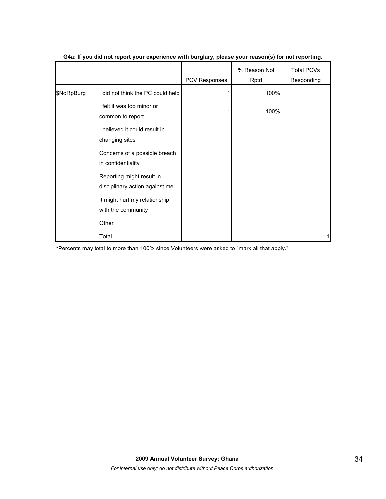|            |                                                             | PCV Responses | % Reason Not<br>Rptd | <b>Total PCVs</b><br>Responding |
|------------|-------------------------------------------------------------|---------------|----------------------|---------------------------------|
| \$NoRpBurg | I did not think the PC could help                           |               | 100%                 |                                 |
|            | I felt it was too minor or<br>common to report              |               | 100%                 |                                 |
|            | I believed it could result in<br>changing sites             |               |                      |                                 |
|            | Concerns of a possible breach<br>in confidentiality         |               |                      |                                 |
|            | Reporting might result in<br>disciplinary action against me |               |                      |                                 |
|            | It might hurt my relationship<br>with the community         |               |                      |                                 |
|            | Other                                                       |               |                      |                                 |
|            | Total                                                       |               |                      | 1                               |

#### **G4a: If you did not report your experience with burglary, please your reason(s) for not reporting.**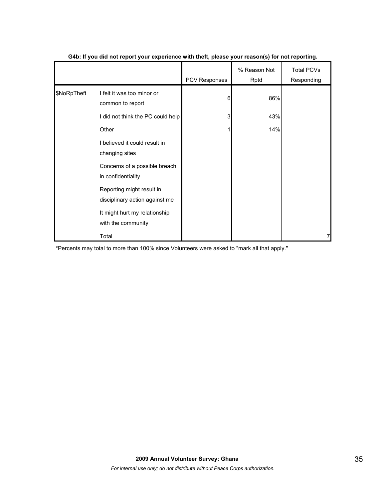|             |                                                             |               | . .                  |                          |
|-------------|-------------------------------------------------------------|---------------|----------------------|--------------------------|
|             |                                                             | PCV Responses | % Reason Not<br>Rptd | Total PCVs<br>Responding |
| \$NoRpTheft | I felt it was too minor or<br>common to report              | 6             | 86%                  |                          |
|             | I did not think the PC could help                           | 3             | 43%                  |                          |
|             | Other                                                       |               | 14%                  |                          |
|             | I believed it could result in<br>changing sites             |               |                      |                          |
|             | Concerns of a possible breach<br>in confidentiality         |               |                      |                          |
|             | Reporting might result in<br>disciplinary action against me |               |                      |                          |
|             | It might hurt my relationship<br>with the community         |               |                      |                          |
|             | Total                                                       |               |                      | 7                        |

#### **G4b: If you did not report your experience with theft, please your reason(s) for not reporting.**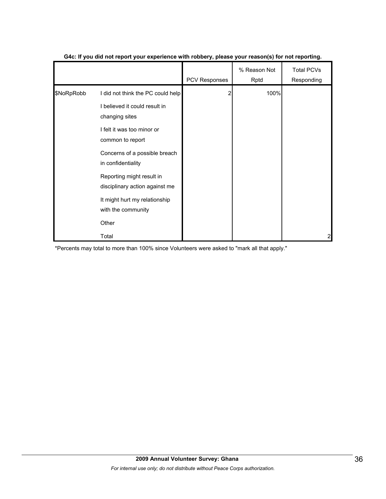|            |                                                                                                                                                                                                                                                                                                                              | PCV Responses | % Reason Not<br>Rptd | <b>Total PCVs</b><br>Responding |
|------------|------------------------------------------------------------------------------------------------------------------------------------------------------------------------------------------------------------------------------------------------------------------------------------------------------------------------------|---------------|----------------------|---------------------------------|
| \$NoRpRobb | I did not think the PC could help<br>I believed it could result in<br>changing sites<br>I felt it was too minor or<br>common to report<br>Concerns of a possible breach<br>in confidentiality<br>Reporting might result in<br>disciplinary action against me<br>It might hurt my relationship<br>with the community<br>Other | 2             | 100%                 |                                 |
|            | Total                                                                                                                                                                                                                                                                                                                        |               |                      | 2                               |

#### **G4c: If you did not report your experience with robbery, please your reason(s) for not reporting.**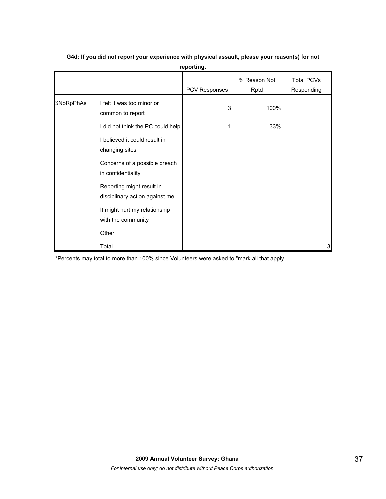|            |                                                             | PCV Responses | % Reason Not<br>Rptd | <b>Total PCVs</b><br>Responding |
|------------|-------------------------------------------------------------|---------------|----------------------|---------------------------------|
| \$NoRpPhAs | I felt it was too minor or<br>common to report              | 3             | 100%                 |                                 |
|            | I did not think the PC could help                           |               | 33%                  |                                 |
|            | I believed it could result in<br>changing sites             |               |                      |                                 |
|            | Concerns of a possible breach<br>in confidentiality         |               |                      |                                 |
|            | Reporting might result in<br>disciplinary action against me |               |                      |                                 |
|            | It might hurt my relationship<br>with the community         |               |                      |                                 |
|            | Other                                                       |               |                      |                                 |
|            | Total                                                       |               |                      | 3                               |

## **G4d: If you did not report your experience with physical assault, please your reason(s) for not reporting.**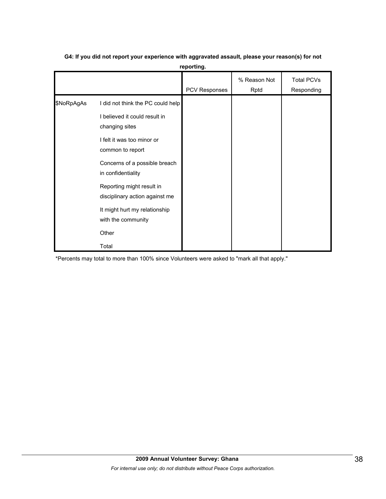|            |                                                                                                                    | <b>PCV Responses</b> | % Reason Not<br>Rptd | Total PCVs<br>Responding |
|------------|--------------------------------------------------------------------------------------------------------------------|----------------------|----------------------|--------------------------|
| \$NoRpAgAs | I did not think the PC could help<br>I believed it could result in<br>changing sites<br>I felt it was too minor or |                      |                      |                          |
|            | common to report<br>Concerns of a possible breach<br>in confidentiality                                            |                      |                      |                          |
|            | Reporting might result in<br>disciplinary action against me<br>It might hurt my relationship<br>with the community |                      |                      |                          |
|            | Other<br>Total                                                                                                     |                      |                      |                          |

## **G4: If you did not report your experience with aggravated assault, please your reason(s) for not reporting.**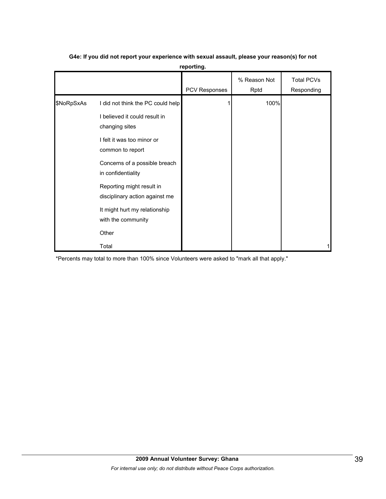|            |                                                             | <b>PCV Responses</b> | % Reason Not<br>Rptd | Total PCVs<br>Responding |
|------------|-------------------------------------------------------------|----------------------|----------------------|--------------------------|
| \$NoRpSxAs | I did not think the PC could help                           |                      | 100%                 |                          |
|            | I believed it could result in<br>changing sites             |                      |                      |                          |
|            | I felt it was too minor or<br>common to report              |                      |                      |                          |
|            | Concerns of a possible breach<br>in confidentiality         |                      |                      |                          |
|            | Reporting might result in<br>disciplinary action against me |                      |                      |                          |
|            | It might hurt my relationship<br>with the community         |                      |                      |                          |
|            | Other                                                       |                      |                      |                          |
|            | Total                                                       |                      |                      |                          |

## **G4e: If you did not report your experience with sexual assault, please your reason(s) for not reporting.**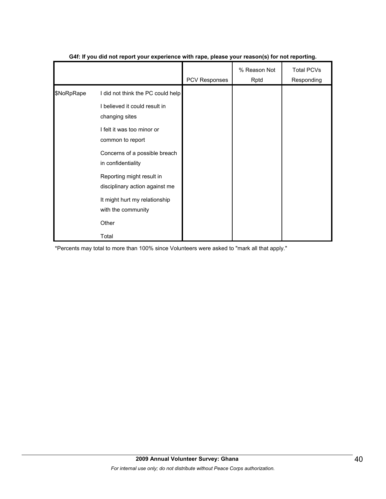|            |                                                                                                                                        | PCV Responses | % Reason Not<br>Rptd | <b>Total PCVs</b><br>Responding |
|------------|----------------------------------------------------------------------------------------------------------------------------------------|---------------|----------------------|---------------------------------|
| \$NoRpRape | I did not think the PC could help<br>I believed it could result in<br>changing sites<br>I felt it was too minor or<br>common to report |               |                      |                                 |
|            | Concerns of a possible breach<br>in confidentiality                                                                                    |               |                      |                                 |
|            | Reporting might result in<br>disciplinary action against me                                                                            |               |                      |                                 |
|            | It might hurt my relationship<br>with the community                                                                                    |               |                      |                                 |
|            | Other                                                                                                                                  |               |                      |                                 |
|            | Total                                                                                                                                  |               |                      |                                 |

#### **G4f: If you did not report your experience with rape, please your reason(s) for not reporting.**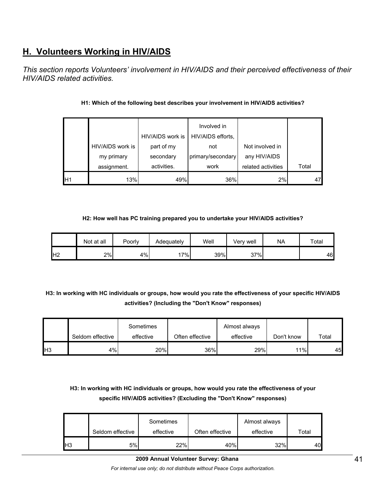# **H. Volunteers Working in HIV/AIDS**

*This section reports Volunteers' involvement in HIV/AIDS and their perceived effectiveness of their HIV/AIDS related activities.* 

| assignment.      | activities.      | work              | related activities | Total |
|------------------|------------------|-------------------|--------------------|-------|
| my primary       | secondary        | primary/secondary | any HIV/AIDS       |       |
| HIV/AIDS work is | part of my       | not               | Not involved in    |       |
|                  | HIV/AIDS work is | HIV/AIDS efforts, |                    |       |
|                  |                  | Involved in       |                    |       |

## **H1: Which of the following best describes your involvement in HIV/AIDS activities?**

#### **H2: How well has PC training prepared you to undertake your HIV/AIDS activities?**

|                | Not at all | Poorly | Adequately | Well | Very well | ΝA | Total |
|----------------|------------|--------|------------|------|-----------|----|-------|
| H <sub>2</sub> | 2%         | 4%     | $7\%$      | 39%  | 37%       |    | 46    |

**H3: In working with HC individuals or groups, how would you rate the effectiveness of your specific HIV/AIDS activities? (Including the "Don't Know" responses)** 

|     |                  | Sometimes |                 | Almost always |            |       |
|-----|------------------|-----------|-----------------|---------------|------------|-------|
|     | Seldom effective | effective | Often effective | effective     | Don't know | Total |
| IH3 | 4%               | 20%       | 36%             | 29%           | 11%        | 45    |

**H3: In working with HC individuals or groups, how would you rate the effectiveness of your specific HIV/AIDS activities? (Excluding the "Don't Know" responses)** 

|     | Seldom effective | Sometimes<br>effective | Often effective | Almost always<br>effective | Total |
|-----|------------------|------------------------|-----------------|----------------------------|-------|
| lН3 | 5%               | 22%                    | 40%             | 32%                        | 40    |

*For internal use only; do not distribute without Peace Corps authorization.*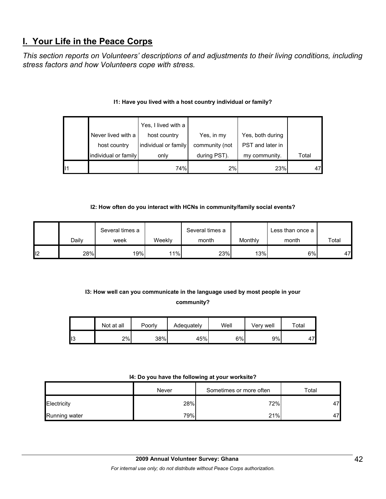# **I. Your Life in the Peace Corps**

*This section reports on Volunteers' descriptions of and adjustments to their living conditions, including stress factors and how Volunteers cope with stress.* 

| $\mathsf{I}$ |                      | 74%                  | 2%             | 23%              | 47    |
|--------------|----------------------|----------------------|----------------|------------------|-------|
|              | individual or family | only                 | during PST).   | my community.    | Total |
|              | host country         | individual or family | community (not | PST and later in |       |
|              | Never lived with a   | host country         | Yes, in my     | Yes, both during |       |
|              |                      | Yes, I lived with a  |                |                  |       |

## **I1: Have you lived with a host country individual or family?**

#### **I2: How often do you interact with HCNs in community/family social events?**

|                 |       | Several times a |        | Several times a |         | Less than once a |       |
|-----------------|-------|-----------------|--------|-----------------|---------|------------------|-------|
|                 | Dailv | week            | Weeklv | month           | Monthly | month            | Total |
| l <sub>12</sub> | 28%   | 19%             | 11%    | 23%             | 13%     | 6%               | 47    |

## **I3: How well can you communicate in the language used by most people in your community?**

|     | Not at all | Poorly | Adequately | Well | Verv well | $\tau$ otal |
|-----|------------|--------|------------|------|-----------|-------------|
| טוי | 2%         | 38%    | 45%        | 6%   | 9%        | 47          |

#### **I4: Do you have the following at your worksite?**

|               | Never | Sometimes or more often | $\tau$ otal |
|---------------|-------|-------------------------|-------------|
| Electricity   | 28%   | 72%                     | 47          |
| Running water | 79%   | 21%                     | 47          |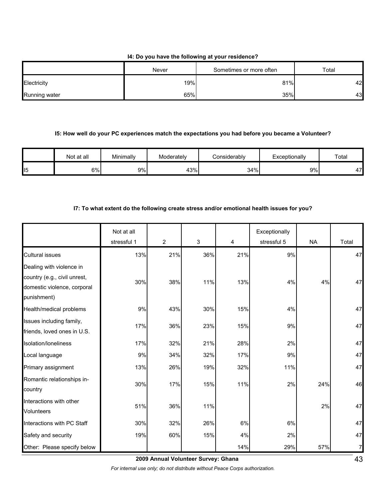#### **I4: Do you have the following at your residence?**

|                      | Never | Sometimes or more often | Total |
|----------------------|-------|-------------------------|-------|
| Electricity          | 19%   | 81%                     | 42    |
| <b>Running water</b> | 65%   | 35%                     | 43    |

#### **I5: How well do your PC experiences match the expectations you had before you became a Volunteer?**

|    | Not at all | Minimally | Moderately | Considerablv | Exceptionally | Total                  |
|----|------------|-----------|------------|--------------|---------------|------------------------|
| 15 | 6%         | 9%        | 43%        | 34%          | 9%            | 17 <sub>h</sub><br>T 1 |

## **I7: To what extent do the following create stress and/or emotional health issues for you?**

|                                                                                                        | Not at all  |     |     |     | Exceptionally |           |       |
|--------------------------------------------------------------------------------------------------------|-------------|-----|-----|-----|---------------|-----------|-------|
|                                                                                                        | stressful 1 | 2   | 3   | 4   | stressful 5   | <b>NA</b> | Total |
| <b>Cultural issues</b>                                                                                 | 13%         | 21% | 36% | 21% | 9%            |           | 47    |
| Dealing with violence in<br>country (e.g., civil unrest,<br>domestic violence, corporal<br>punishment) | 30%         | 38% | 11% | 13% | 4%            | 4%        | 47    |
| Health/medical problems                                                                                | 9%          | 43% | 30% | 15% | 4%            |           | 47    |
| Issues including family,<br>friends, loved ones in U.S.                                                | 17%         | 36% | 23% | 15% | 9%            |           | 47    |
| Isolation/loneliness                                                                                   | 17%         | 32% | 21% | 28% | 2%            |           | 47    |
| Local language                                                                                         | 9%          | 34% | 32% | 17% | 9%            |           | 47    |
| Primary assignment                                                                                     | 13%         | 26% | 19% | 32% | 11%           |           | 47    |
| Romantic relationships in-<br>country                                                                  | 30%         | 17% | 15% | 11% | 2%            | 24%       | 46    |
| Interactions with other<br><b>Volunteers</b>                                                           | 51%         | 36% | 11% |     |               | 2%        | 47    |
| Interactions with PC Staff                                                                             | 30%         | 32% | 26% | 6%  | 6%            |           | 47    |
| Safety and security                                                                                    | 19%         | 60% | 15% | 4%  | 2%            |           | 47    |
| Other: Please specify below                                                                            |             |     |     | 14% | 29%           | 57%       |       |

**2009 Annual Volunteer Survey: Ghana** 

*For internal use only; do not distribute without Peace Corps authorization.*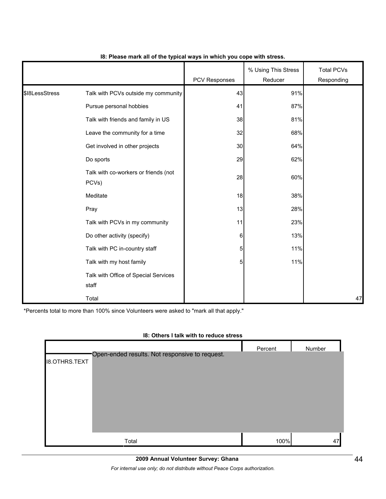|                | . .                                           |               |                                |                                 |
|----------------|-----------------------------------------------|---------------|--------------------------------|---------------------------------|
|                |                                               | PCV Responses | % Using This Stress<br>Reducer | <b>Total PCVs</b><br>Responding |
| \$18LessStress | Talk with PCVs outside my community           | 43            | 91%                            |                                 |
|                | Pursue personal hobbies                       | 41            | 87%                            |                                 |
|                | Talk with friends and family in US            | 38            | 81%                            |                                 |
|                | Leave the community for a time                | 32            | 68%                            |                                 |
|                | Get involved in other projects                | 30            | 64%                            |                                 |
|                | Do sports                                     | 29            | 62%                            |                                 |
|                | Talk with co-workers or friends (not<br>PCVs) | 28            | 60%                            |                                 |
|                | Meditate                                      | 18            | 38%                            |                                 |
|                | Pray                                          | 13            | 28%                            |                                 |
|                | Talk with PCVs in my community                | 11            | 23%                            |                                 |
|                | Do other activity (specify)                   | 6             | 13%                            |                                 |
|                | Talk with PC in-country staff                 | 5             | 11%                            |                                 |
|                | Talk with my host family                      | 5             | 11%                            |                                 |
|                | Talk with Office of Special Services<br>staff |               |                                |                                 |
|                | Total                                         |               |                                | 47                              |

### **I8: Please mark all of the typical ways in which you cope with stress.**

\*Percents total to more than 100% since Volunteers were asked to "mark all that apply."

|                      | 10. Others I tain with to require stress       |         |        |
|----------------------|------------------------------------------------|---------|--------|
|                      |                                                | Percent | Number |
| <b>I8.OTHRS.TEXT</b> | Open-ended results. Not responsive to request. |         |        |
|                      |                                                |         |        |
|                      |                                                |         |        |
|                      |                                                |         |        |
|                      |                                                |         |        |
|                      |                                                |         |        |
|                      |                                                |         |        |
|                      | Total                                          | 100%    |        |
|                      |                                                |         | 47     |

#### **I8: Others I talk with to reduce stress**

**2009 Annual Volunteer Survey: Ghana** 

*For internal use only; do not distribute without Peace Corps authorization.*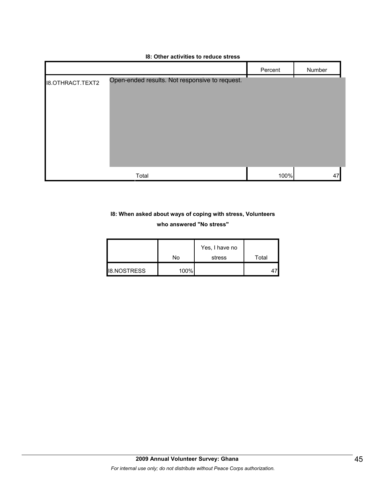# **I8: Other activities to reduce stress** Percent | Number I8.OTHRACT.TEXT2 Open-ended results. Not responsive to request.

| Total<br>'lai | ົງ% |  |
|---------------|-----|--|
|               |     |  |

## **I8: When asked about ways of coping with stress, Volunteers who answered "No stress"**

|                    | No   | Yes, I have no<br>stress | Total |
|--------------------|------|--------------------------|-------|
| <b>I8.NOSTRESS</b> | 100% |                          |       |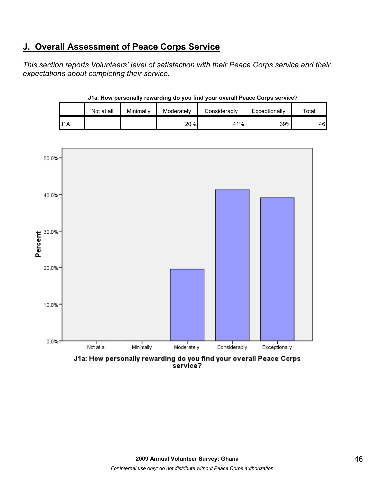# **J. Overall Assessment of Peace Corps Service**

*This section reports Volunteers' level of satisfaction with their Peace Corps service and their expectations about completing their service.* 

|     | J1a: How personally rewarding do you find your overall Peace Corps service? |           |            |              |               |       |  |  |  |  |  |
|-----|-----------------------------------------------------------------------------|-----------|------------|--------------|---------------|-------|--|--|--|--|--|
|     | Not at all                                                                  | Minimally | Moderately | Considerably | Exceptionally | Total |  |  |  |  |  |
| J1A |                                                                             |           | 20%        | 41%          | 39%           | 46    |  |  |  |  |  |

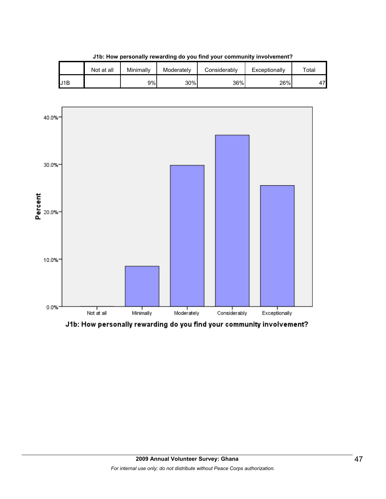|     | Not at all | Minimally | Moderately | Considerablv | Exceptionally | $\tau$ otal |
|-----|------------|-----------|------------|--------------|---------------|-------------|
| J1B |            | 9%        | 30%        | 36%          | 26%           | A7          |

**J1b: How personally rewarding do you find your community involvement?**



J1b: How personally rewarding do you find your community involvement?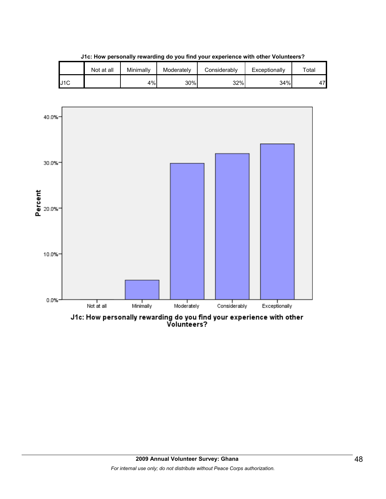|     | Not at all | Minimally | Moderately | Considerablv | Exceptionally | $\tau$ otal |
|-----|------------|-----------|------------|--------------|---------------|-------------|
| J1C |            | 4%        | 30%        | 32%          | 34%           | A7          |

**J1c: How personally rewarding do you find your experience with other Volunteers?**



J1c: How personally rewarding do you find your experience with other<br>Volunteers?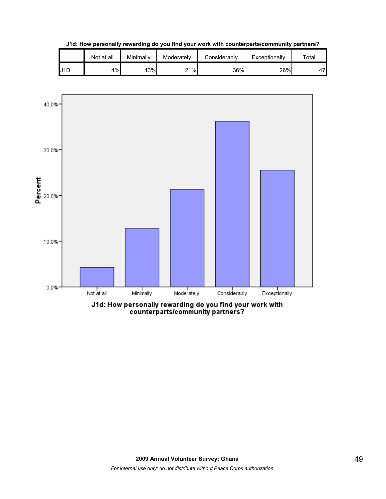**J1d: How personally rewarding do you find your work with counterparts/community partners?**

|     | Not at all | Minimally | Moderately | Considerably | Exceptionally | $\tau$ otal |
|-----|------------|-----------|------------|--------------|---------------|-------------|
| J1D | 4%         | 13%       | 21%        | 36%          | 26%           | 47'         |

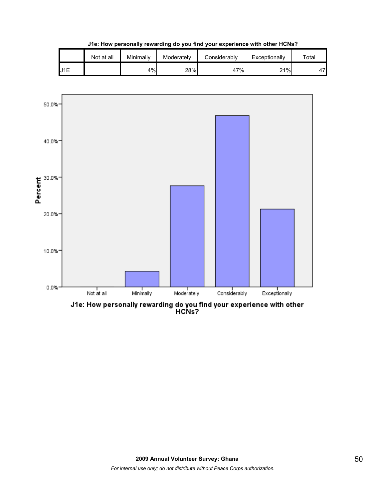

**J1e: How personally rewarding do you find your experience with other HCNs?**



J1e: How personally rewarding do you find your experience with other<br>HCNs?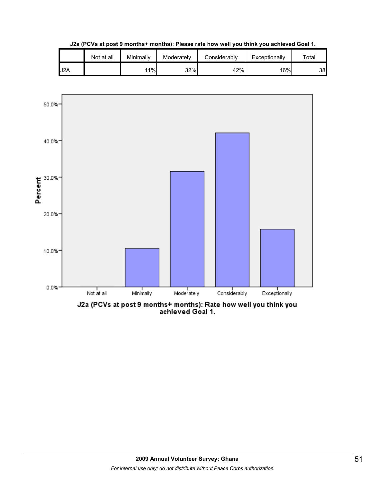|                  | Not at all | Minimally | Moderately | Considerablv | Exceptionally    | Total |
|------------------|------------|-----------|------------|--------------|------------------|-------|
| J <sub>2</sub> A |            | 11%       | 32%        | 42%          | 16% <sub>1</sub> | 38    |

**J2a (PCVs at post 9 months+ months): Please rate how well you think you achieved Goal 1.**

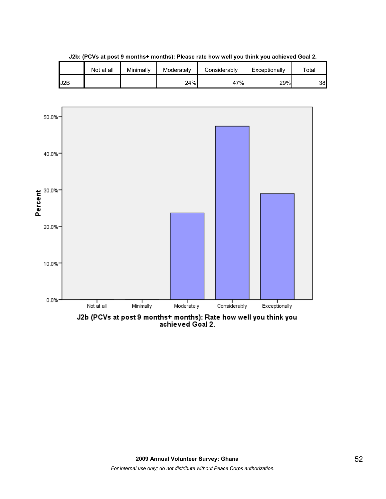|     | Not at all | Minimally | Moderately | Considerablv | Exceptionally | $\tau$ otal |
|-----|------------|-----------|------------|--------------|---------------|-------------|
| J2B |            |           | 24%        | 47%          | 29%           | 38          |

**J2b: (PCVs at post 9 months+ months): Please rate how well you think you achieved Goal 2.**

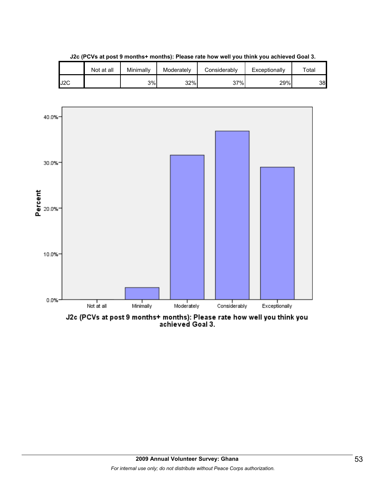

**J2c (PCVs at post 9 months+ months): Please rate how well you think you achieved Goal 3.**



J2c (PCVs at post 9 months+ months): Please rate how well you think you<br>achieved Goal 3.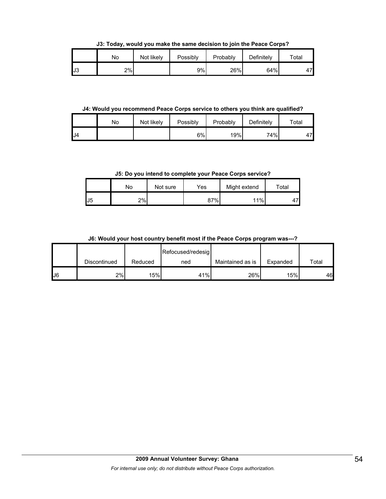**J3: Today, would you make the same decision to join the Peace Corps?**

|     | No | Not likely | Possibly | Probably | Definitely | Total |
|-----|----|------------|----------|----------|------------|-------|
| IJ3 | 2% |            | 9%       | 26%      | 64%        | 47    |

**J4: Would you recommend Peace Corps service to others you think are qualified?**

|     | No | Not likely | Possibly | Probably | Definitely | Total |
|-----|----|------------|----------|----------|------------|-------|
| IJ4 |    |            | 6%       | 19%      | 74%        | ι7    |

**J5: Do you intend to complete your Peace Corps service?**

|                | No | Not sure | Yes | Might extend | Total   |
|----------------|----|----------|-----|--------------|---------|
| J <sub>5</sub> | 2% |          | 87% | 11%          | -<br>д. |

**J6: Would your host country benefit most if the Peace Corps program was---?**

|    |              |         | Refocused/redesig |                  |          |             |
|----|--------------|---------|-------------------|------------------|----------|-------------|
|    | Discontinued | Reduced | ned               | Maintained as is | Expanded | $\tau$ otal |
| J6 | 2%           | 15%     | 41%               | 26%              | 15%      | 46          |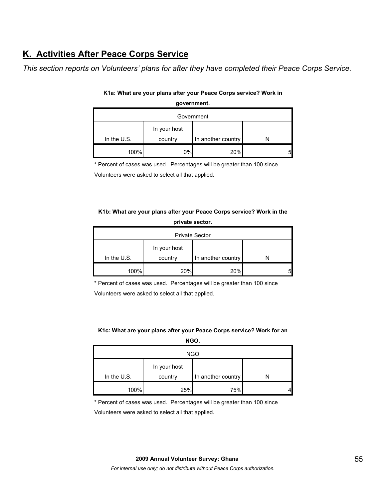# **K. Activities After Peace Corps Service**

*This section reports on Volunteers' plans for after they have completed their Peace Corps Service.* 

| Government    |                         |                    |  |  |
|---------------|-------------------------|--------------------|--|--|
| In the $U.S.$ | In your host<br>country | In another country |  |  |
| 100%          | 0%                      | 20%                |  |  |

## **K1a: What are your plans after your Peace Corps service? Work in government.**

\* Percent of cases was used. Percentages will be greater than 100 since

Volunteers were asked to select all that applied.

### **K1b: What are your plans after your Peace Corps service? Work in the private sector.**

| <b>Private Sector</b> |                         |                    |  |  |
|-----------------------|-------------------------|--------------------|--|--|
| In the $U.S.$         | In your host<br>country | In another country |  |  |
| 100%                  | 20%                     | 20%                |  |  |

\* Percent of cases was used. Percentages will be greater than 100 since

Volunteers were asked to select all that applied.

### **K1c: What are your plans after your Peace Corps service? Work for an NGO.**

| <b>NGO</b>  |              |                    |  |  |
|-------------|--------------|--------------------|--|--|
|             | In your host |                    |  |  |
| In the U.S. | country      | In another country |  |  |
| 100%        | 25%          | 75%                |  |  |

\* Percent of cases was used. Percentages will be greater than 100 since

Volunteers were asked to select all that applied.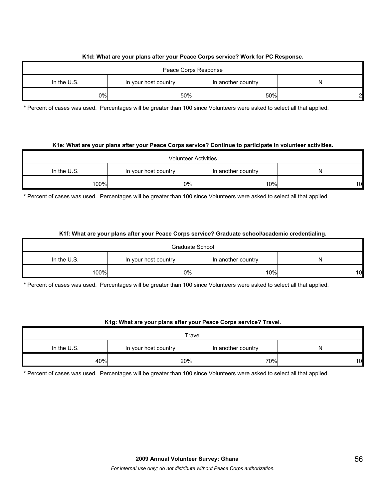#### **K1d: What are your plans after your Peace Corps service? Work for PC Response.**

| Peace Corps Response |                      |                    |              |  |
|----------------------|----------------------|--------------------|--------------|--|
| In the $U.S.$        | In your host country | In another country |              |  |
| $0\%$                | 50%                  | 50%                | $\mathbf{2}$ |  |

\* Percent of cases was used. Percentages will be greater than 100 since Volunteers were asked to select all that applied.

#### **K1e: What are your plans after your Peace Corps service? Continue to participate in volunteer activities.**

| <b>Volunteer Activities</b> |                      |                    |    |  |
|-----------------------------|----------------------|--------------------|----|--|
| In the $U.S.$               | In your host country | In another country |    |  |
| 100%                        | 0%                   | 10%                | 10 |  |

\* Percent of cases was used. Percentages will be greater than 100 since Volunteers were asked to select all that applied.

#### **K1f: What are your plans after your Peace Corps service? Graduate school/academic credentialing.**

| Graduate School |                      |                    |                 |  |  |
|-----------------|----------------------|--------------------|-----------------|--|--|
| In the $U.S.$   | In your host country | In another country | N               |  |  |
| 100%            | 0%                   | 10%                | 10 <sup>1</sup> |  |  |

\* Percent of cases was used. Percentages will be greater than 100 since Volunteers were asked to select all that applied.

#### **K1g: What are your plans after your Peace Corps service? Travel.**

| Travel        |                      |                    |    |  |
|---------------|----------------------|--------------------|----|--|
| In the $U.S.$ | In your host country | In another country | N  |  |
| 40%           | 20%                  | 70%                | 10 |  |

\* Percent of cases was used. Percentages will be greater than 100 since Volunteers were asked to select all that applied.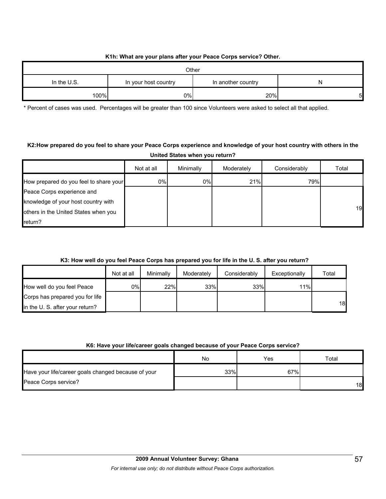### **K1h: What are your plans after your Peace Corps service? Other.**

| Other         |                      |                    |    |  |  |
|---------------|----------------------|--------------------|----|--|--|
| In the $U.S.$ | In your host country | In another country | N  |  |  |
| 100%          | 0%                   | 20%                | 51 |  |  |

\* Percent of cases was used. Percentages will be greater than 100 since Volunteers were asked to select all that applied.

## **K2:How prepared do you feel to share your Peace Corps experience and knowledge of your host country with others in the United States when you return?**

|                                        | Not at all | Minimally | Moderately | Considerably | Total |
|----------------------------------------|------------|-----------|------------|--------------|-------|
| How prepared do you feel to share your | 0%         | 0%        | 21%        | 79%          |       |
| Peace Corps experience and             |            |           |            |              |       |
| knowledge of your host country with    |            |           |            |              |       |
| others in the United States when you   |            |           |            |              | 19    |
| return?                                |            |           |            |              |       |

## **K3: How well do you feel Peace Corps has prepared you for life in the U. S. after you return?**

|                                 | Not at all | Minimally | Moderately | Considerably | Exceptionally | Total |
|---------------------------------|------------|-----------|------------|--------------|---------------|-------|
| How well do you feel Peace      | 0%l        | 22%       | 33%        | 33%          | 11%           |       |
| Corps has prepared you for life |            |           |            |              |               |       |
| in the U. S. after your return? |            |           |            |              |               | 18    |

#### **K6: Have your life/career goals changed because of your Peace Corps service?**

|                                                     | No  | Yes | Total |
|-----------------------------------------------------|-----|-----|-------|
| Have your life/career goals changed because of your | 33% | 67% |       |
| Peace Corps service?                                |     |     | 18    |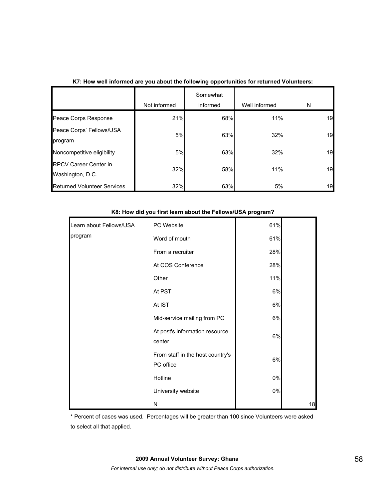|                                                  | Not informed | Somewhat<br>informed | Well informed | N  |
|--------------------------------------------------|--------------|----------------------|---------------|----|
| Peace Corps Response                             | 21%          | 68%                  | 11%           | 19 |
| Peace Corps' Fellows/USA<br>program              | 5%           | 63%                  | 32%           | 19 |
| Noncompetitive eligibility                       | 5%           | 63%                  | 32%           | 19 |
| <b>RPCV Career Center in</b><br>Washington, D.C. | 32%          | 58%                  | 11%           | 19 |
| <b>Returned Volunteer Services</b>               | 32%          | 63%                  | 5%            | 19 |

## **K7: How well informed are you about the following opportunities for returned Volunteers:**

| Learn about Fellows/USA | PC Website                                    | 61% |  |
|-------------------------|-----------------------------------------------|-----|--|
| program                 | Word of mouth                                 | 61% |  |
|                         | From a recruiter                              | 28% |  |
|                         | At COS Conference                             | 28% |  |
|                         | Other                                         | 11% |  |
|                         | At PST                                        | 6%  |  |
|                         | At IST                                        | 6%  |  |
|                         | Mid-service mailing from PC                   | 6%  |  |
|                         | At post's information resource<br>center      | 6%  |  |
|                         | From staff in the host country's<br>PC office | 6%  |  |
|                         | Hotline                                       | 0%  |  |
|                         | University website                            | 0%  |  |
|                         |                                               |     |  |

#### **K8: How did you first learn about the Fellows/USA program?**

\* Percent of cases was used. Percentages will be greater than 100 since Volunteers were asked to select all that applied.

N 18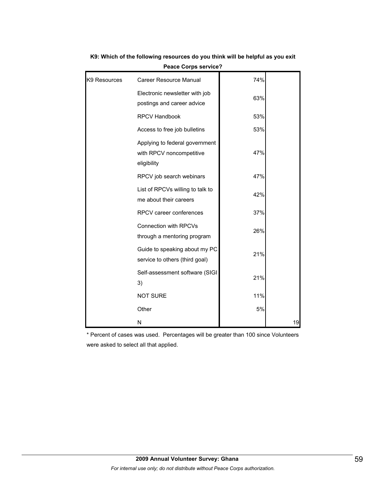| K9 Resources | Career Resource Manual                                                    | 74% |    |
|--------------|---------------------------------------------------------------------------|-----|----|
|              | Electronic newsletter with job<br>postings and career advice              | 63% |    |
|              | <b>RPCV Handbook</b>                                                      | 53% |    |
|              | Access to free job bulletins                                              | 53% |    |
|              | Applying to federal government<br>with RPCV noncompetitive<br>eligibility | 47% |    |
|              | RPCV job search webinars                                                  | 47% |    |
|              | List of RPCVs willing to talk to<br>me about their careers                | 42% |    |
|              | RPCV career conferences                                                   | 37% |    |
|              | <b>Connection with RPCVs</b><br>through a mentoring program               | 26% |    |
|              | Guide to speaking about my PC<br>service to others (third goal)           | 21% |    |
|              | Self-assessment software (SIGI<br>3)                                      | 21% |    |
|              | <b>NOT SURE</b>                                                           | 11% |    |
|              | Other                                                                     | 5%  |    |
|              | N                                                                         |     | 19 |

**K9: Which of the following resources do you think will be helpful as you exit Peace Corps service?**

\* Percent of cases was used. Percentages will be greater than 100 since Volunteers were asked to select all that applied.